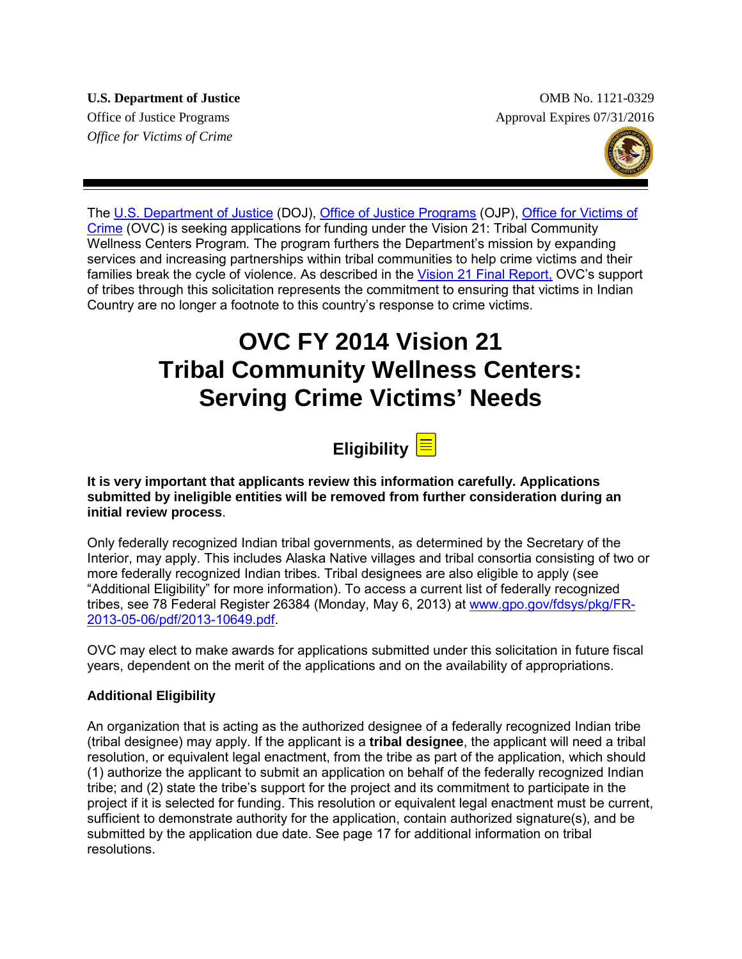*Office for Victims of Crime*

**U.S. Department of Justice**  OMB No. 1121-0329 Office of Justice Programs Approval Expires 07/31/2016



The [U.S. Department of Justice](http://www.justice.gov/) (DOJ), [Office of Justice Programs](http://ojp.gov/) (OJP), [Office for Victims of](http://www.ovc.gov/)  [Crime](http://www.ovc.gov/) (OVC) is seeking applications for funding under the Vision 21: Tribal Community Wellness Centers Program*.* The program furthers the Department's mission by expanding services and increasing partnerships within tribal communities to help crime victims and their families break the cycle of violence. As described in the [Vision 21 Final Report,](http://ovc.ncjrs.gov/vision21/index.html) OVC's support of tribes through this solicitation represents the commitment to ensuring that victims in Indian Country are no longer a footnote to this country's response to crime victims.

## **OVC FY 2014 Vision 21 Tribal Community Wellness Centers: Serving Crime Victims' Needs**

# **Eligibility**

**It is very important that applicants review this information carefully. Applications submitted by ineligible entities will be removed from further consideration during an initial review process**.

Only federally recognized Indian tribal governments, as determined by the Secretary of the Interior, may apply. This includes Alaska Native villages and tribal consortia consisting of two or more federally recognized Indian tribes. Tribal designees are also eligible to apply (see "Additional Eligibility" for more information). To access a current list of federally recognized tribes, see 78 Federal Register 26384 (Monday, May 6, 2013) at [www.gpo.gov/fdsys/pkg/FR-](http://www.gpo.gov/fdsys/pkg/FR-2013-05-06/pdf/2013-10649.pdf)[2013-05-06/pdf/2013-10649.pdf.](http://www.gpo.gov/fdsys/pkg/FR-2013-05-06/pdf/2013-10649.pdf)

OVC may elect to make awards for applications submitted under this solicitation in future fiscal years, dependent on the merit of the applications and on the availability of appropriations.

#### **Additional Eligibility**

An organization that is acting as the authorized designee of a federally recognized Indian tribe (tribal designee) may apply. If the applicant is a **tribal designee**, the applicant will need a tribal resolution, or equivalent legal enactment, from the tribe as part of the application, which should (1) authorize the applicant to submit an application on behalf of the federally recognized Indian tribe; and (2) state the tribe's support for the project and its commitment to participate in the project if it is selected for funding. This resolution or equivalent legal enactment must be current, sufficient to demonstrate authority for the application, contain authorized signature(s), and be submitted by the application due date. See page 17 for additional information on tribal resolutions.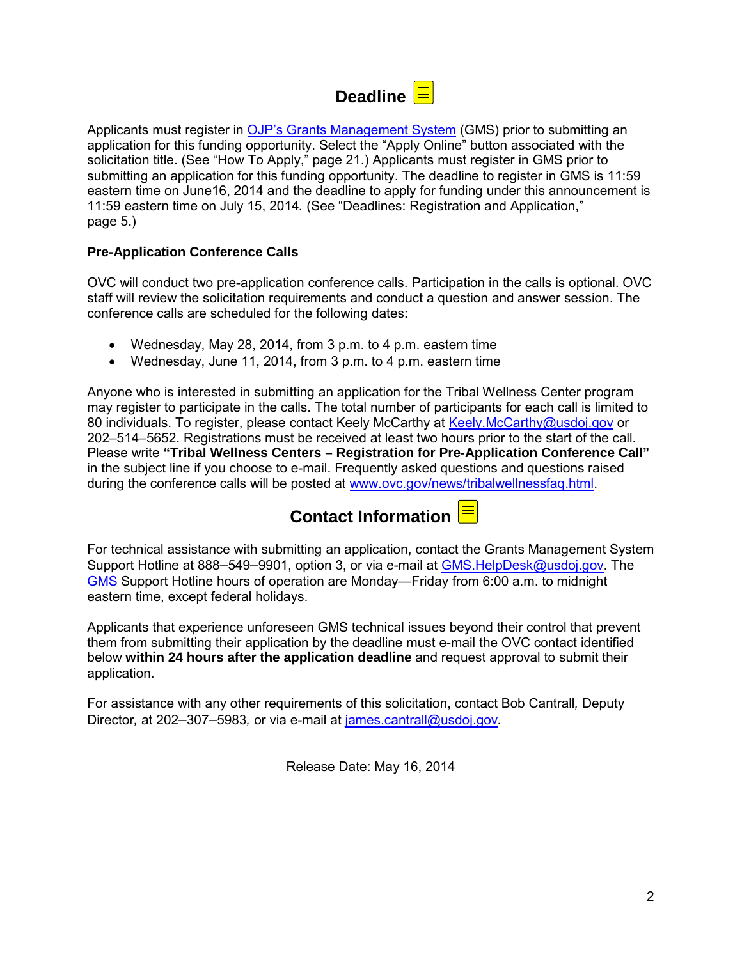## Deadline  $\left|\equiv\right|$

Applicants must register in [OJP's Grants Management System](https://grants.ojp.usdoj.gov/) (GMS) prior to submitting an application for this funding opportunity. Select the "Apply Online" button associated with the solicitation title. (See "How To Apply," page 21.) Applicants must register in GMS prior to submitting an application for this funding opportunity. The deadline to register in GMS is 11:59 eastern time on June16, 2014 and the deadline to apply for funding under this announcement is 11:59 eastern time on July 15, 2014*.* (See "Deadlines: Registration and Application," page 5.)

#### **Pre-Application Conference Calls**

OVC will conduct two pre-application conference calls. Participation in the calls is optional. OVC staff will review the solicitation requirements and conduct a question and answer session. The conference calls are scheduled for the following dates:

- Wednesday, May 28, 2014, from 3 p.m. to 4 p.m. eastern time
- Wednesday, June 11, 2014, from 3 p.m. to 4 p.m. eastern time

Anyone who is interested in submitting an application for the Tribal Wellness Center program may register to participate in the calls. The total number of participants for each call is limited to 80 individuals. To register, please contact Keely McCarthy at [Keely.McCarthy@usdoj.gov](mailto:Keely.McCarthy@usdoj.gov) or 202–514–5652. Registrations must be received at least two hours prior to the start of the call. Please write **"Tribal Wellness Centers – Registration for Pre-Application Conference Call"**  in the subject line if you choose to e-mail. Frequently asked questions and questions raised during the conference calls will be posted at [www.ovc.gov/news/tribalwellnessfaq.html.](http://www.ovc.gov/news/tribalwellnessfaq.html)



For technical assistance with submitting an application, contact the Grants Management System Support Hotline at 888–549–9901, option 3, or via e-mail at [GMS.HelpDesk@usdoj.gov.](mailto:GMS.HelpDesk@usdoj.gov) The [GMS](https://grants.ojp.usdoj.gov/) Support Hotline hours of operation are Monday—Friday from 6:00 a.m. to midnight eastern time, except federal holidays.

Applicants that experience unforeseen GMS technical issues beyond their control that prevent them from submitting their application by the deadline must e-mail the OVC contact identified below **within 24 hours after the application deadline** and request approval to submit their application.

For assistance with any other requirements of this solicitation, contact Bob Cantrall*,* Deputy Director*,* at 202–307–5983*,* or via e-mail at [james.cantrall@usdoj.gov](mailto:james.cantrall@usdoj.gov)*.* 

Release Date: May 16, 2014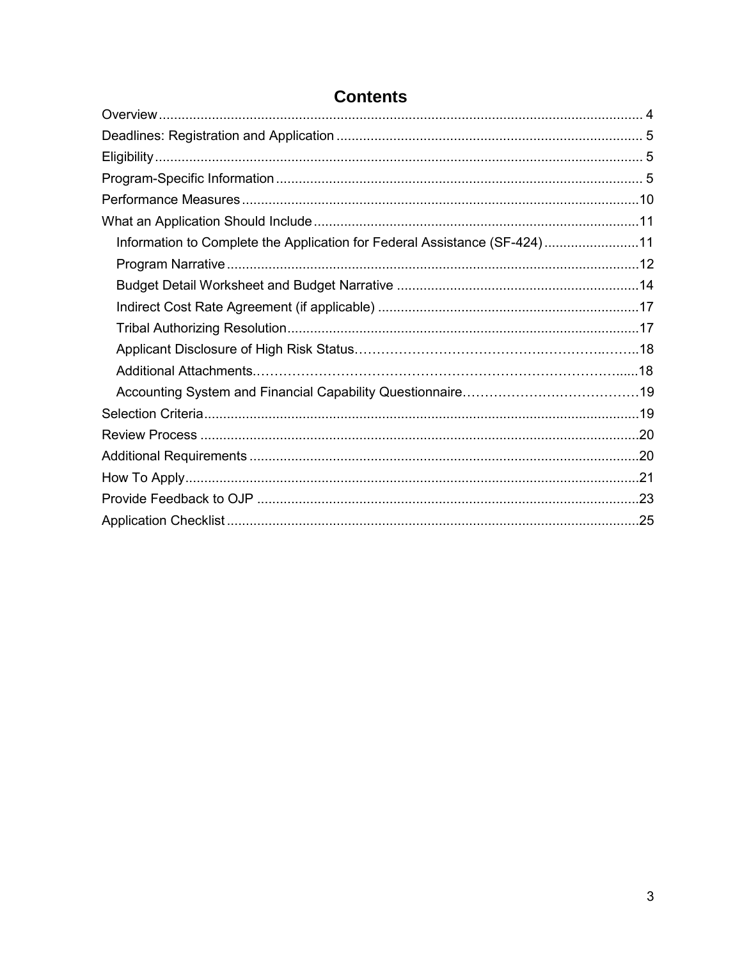| Information to Complete the Application for Federal Assistance (SF-424)11 |  |
|---------------------------------------------------------------------------|--|
|                                                                           |  |
|                                                                           |  |
|                                                                           |  |
|                                                                           |  |
|                                                                           |  |
|                                                                           |  |
|                                                                           |  |
|                                                                           |  |
|                                                                           |  |
|                                                                           |  |
|                                                                           |  |
|                                                                           |  |
|                                                                           |  |

## **Contents**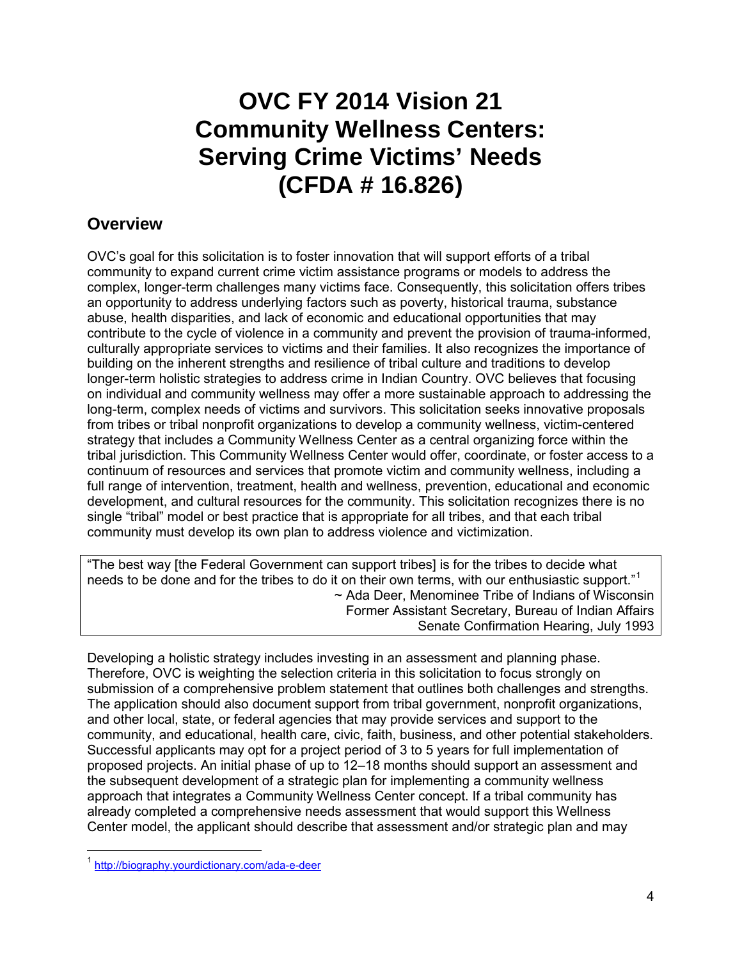## **OVC FY 2014 Vision 21 Community Wellness Centers: Serving Crime Victims' Needs (CFDA # 16.826)**

### <span id="page-3-0"></span>**Overview**

OVC's goal for this solicitation is to foster innovation that will support efforts of a tribal community to expand current crime victim assistance programs or models to address the complex, longer-term challenges many victims face. Consequently, this solicitation offers tribes an opportunity to address underlying factors such as poverty, historical trauma, substance abuse, health disparities, and lack of economic and educational opportunities that may contribute to the cycle of violence in a community and prevent the provision of trauma-informed, culturally appropriate services to victims and their families. It also recognizes the importance of building on the inherent strengths and resilience of tribal culture and traditions to develop longer-term holistic strategies to address crime in Indian Country. OVC believes that focusing on individual and community wellness may offer a more sustainable approach to addressing the long-term, complex needs of victims and survivors. This solicitation seeks innovative proposals from tribes or tribal nonprofit organizations to develop a community wellness, victim-centered strategy that includes a Community Wellness Center as a central organizing force within the tribal jurisdiction. This Community Wellness Center would offer, coordinate, or foster access to a continuum of resources and services that promote victim and community wellness, including a full range of intervention, treatment, health and wellness, prevention, educational and economic development, and cultural resources for the community. This solicitation recognizes there is no single "tribal" model or best practice that is appropriate for all tribes, and that each tribal community must develop its own plan to address violence and victimization.

"The best way [the Federal Government can support tribes] is for the tribes to decide what needs to be done and for the tribes to do it on their own terms, with our enthusiastic support."[1](#page-3-1) ~ Ada Deer, Menominee Tribe of Indians of Wisconsin Former Assistant Secretary, Bureau of Indian Affairs Senate Confirmation Hearing, July 1993

Developing a holistic strategy includes investing in an assessment and planning phase. Therefore, OVC is weighting the selection criteria in this solicitation to focus strongly on submission of a comprehensive problem statement that outlines both challenges and strengths. The application should also document support from tribal government, nonprofit organizations, and other local, state, or federal agencies that may provide services and support to the community, and educational, health care, civic, faith, business, and other potential stakeholders. Successful applicants may opt for a project period of 3 to 5 years for full implementation of proposed projects. An initial phase of up to 12–18 months should support an assessment and the subsequent development of a strategic plan for implementing a community wellness approach that integrates a Community Wellness Center concept. If a tribal community has already completed a comprehensive needs assessment that would support this Wellness Center model, the applicant should describe that assessment and/or strategic plan and may

 $\overline{a}$ 

<span id="page-3-1"></span><sup>&</sup>lt;sup>1</sup> http://biography.yourdictionary.com/ada-e-deer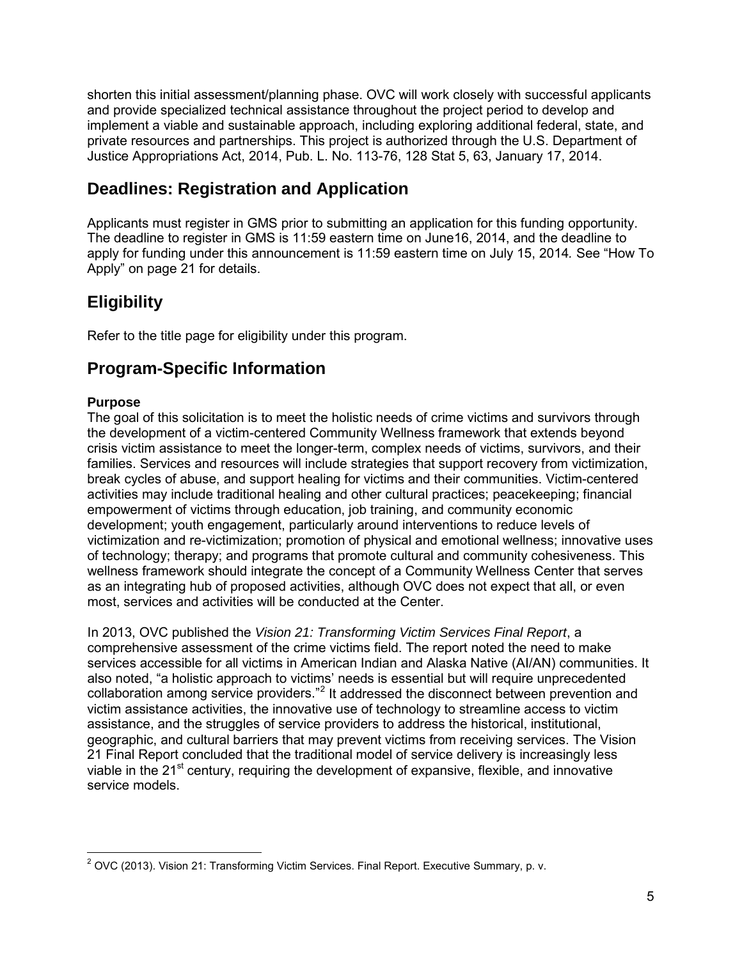shorten this initial assessment/planning phase. OVC will work closely with successful applicants and provide specialized technical assistance throughout the project period to develop and implement a viable and sustainable approach, including exploring additional federal, state, and private resources and partnerships. This project is authorized through the U.S. Department of Justice Appropriations Act, 2014, Pub. L. No. 113-76, 128 Stat 5, 63, January 17, 2014.

## <span id="page-4-0"></span>**Deadlines: Registration and Application**

Applicants must register in GMS prior to submitting an application for this funding opportunity. The deadline to register in GMS is 11:59 eastern time on June16, 2014, and the deadline to apply for funding under this announcement is 11:59 eastern time on July 15, 2014*.* See "How To Apply" on page 21 for details.

## <span id="page-4-1"></span>**Eligibility**

Refer to the title page for eligibility under this program.

## <span id="page-4-2"></span>**Program-Specific Information**

#### **Purpose**

The goal of this solicitation is to meet the holistic needs of crime victims and survivors through the development of a victim-centered Community Wellness framework that extends beyond crisis victim assistance to meet the longer-term, complex needs of victims, survivors, and their families. Services and resources will include strategies that support recovery from victimization, break cycles of abuse, and support healing for victims and their communities. Victim-centered activities may include traditional healing and other cultural practices; peacekeeping; financial empowerment of victims through education, job training, and community economic development; youth engagement, particularly around interventions to reduce levels of victimization and re-victimization; promotion of physical and emotional wellness; innovative uses of technology; therapy; and programs that promote cultural and community cohesiveness. This wellness framework should integrate the concept of a Community Wellness Center that serves as an integrating hub of proposed activities, although OVC does not expect that all, or even most, services and activities will be conducted at the Center.

In 2013, OVC published the *[Vision 21: Transforming Victim Services Final Report](http://ovc.ncjrs.gov/vision21/pdfs/Vision21_Report.pdf)*, a comprehensive assessment of the crime victims field. The report noted the need to make services accessible for all victims in American Indian and Alaska Native (AI/AN) communities. It also noted, "a holistic approach to victims' needs is essential but will require unprecedented collaboration among service providers."<sup>[2](#page-4-3)</sup> It addressed the disconnect between prevention and victim assistance activities, the innovative use of technology to streamline access to victim assistance, and the struggles of service providers to address the historical, institutional, geographic, and cultural barriers that may prevent victims from receiving services. The Vision 21 Final Report concluded that the traditional model of service delivery is increasingly less viable in the  $21<sup>st</sup>$  century, requiring the development of expansive, flexible, and innovative service models.

<span id="page-4-3"></span> $\overline{a}$  $2$  OVC (2013). Vision 21: Transforming Victim Services. Final Report. Executive Summary, p. v.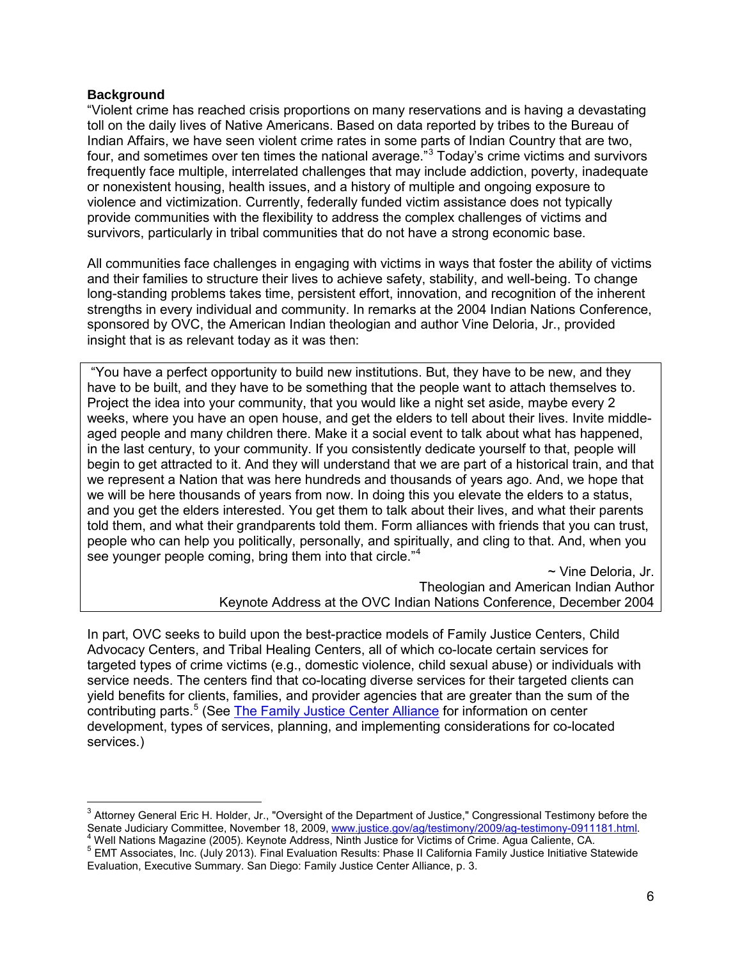#### **Background**

"Violent crime has reached crisis proportions on many reservations and is having a devastating toll on the daily lives of Native Americans. Based on data reported by tribes to the Bureau of Indian Affairs, we have seen violent crime rates in some parts of Indian Country that are two, four, and sometimes over ten times the national average.<sup>"[3](#page-5-0)</sup> Today's crime victims and survivors frequently face multiple, interrelated challenges that may include addiction, poverty, inadequate or nonexistent housing, health issues, and a history of multiple and ongoing exposure to violence and victimization. Currently, federally funded victim assistance does not typically provide communities with the flexibility to address the complex challenges of victims and survivors, particularly in tribal communities that do not have a strong economic base.

All communities face challenges in engaging with victims in ways that foster the ability of victims and their families to structure their lives to achieve safety, stability, and well-being. To change long-standing problems takes time, persistent effort, innovation, and recognition of the inherent strengths in every individual and community. In remarks at the 2004 Indian Nations Conference, sponsored by OVC, the American Indian theologian and author Vine Deloria, Jr., provided insight that is as relevant today as it was then:

"You have a perfect opportunity to build new institutions. But, they have to be new, and they have to be built, and they have to be something that the people want to attach themselves to. Project the idea into your community, that you would like a night set aside, maybe every 2 weeks, where you have an open house, and get the elders to tell about their lives. Invite middleaged people and many children there. Make it a social event to talk about what has happened, in the last century, to your community. If you consistently dedicate yourself to that, people will begin to get attracted to it. And they will understand that we are part of a historical train, and that we represent a Nation that was here hundreds and thousands of years ago. And, we hope that we will be here thousands of years from now. In doing this you elevate the elders to a status, and you get the elders interested. You get them to talk about their lives, and what their parents told them, and what their grandparents told them. Form alliances with friends that you can trust, people who can help you politically, personally, and spiritually, and cling to that. And, when you see younger people coming, bring them into that circle."<sup>[4](#page-5-1)</sup>

~ Vine Deloria, Jr. Theologian and American Indian Author Keynote Address at the OVC Indian Nations Conference, December 2004

In part, OVC seeks to build upon the best-practice models of Family Justice Centers, Child Advocacy Centers, and Tribal Healing Centers, all of which co-locate certain services for targeted types of crime victims (e.g., domestic violence, child sexual abuse) or individuals with service needs. The centers find that co-locating diverse services for their targeted clients can yield benefits for clients, families, and provider agencies that are greater than the sum of the contributing parts.<sup>[5](#page-5-2)</sup> (See [The Family Justice Center Alliance](http://familyjusticecenter.com/index.php) for information on center development, types of services, planning, and implementing considerations for co-located services.)

<span id="page-5-0"></span> $\overline{1}$  $^3$  Attorney General Eric H. Holder, Jr., "Oversight of the Department of Justice," Congressional Testimony before the Senate Judiciary Committee, November 18, 2009[, www.justice.gov/ag/testimony/2009/ag-testimony-0911181.html.](http://www.justice.gov/ag/testimony/2009/ag-testimony-0911181.html)<br><sup>4</sup> Well Nations Magazine (2005). Keynote Address, Ninth Justice for Victims of Crime. Agua Caliente, CA.<br><sup>5</sup> EMT

<span id="page-5-2"></span><span id="page-5-1"></span>Evaluation, Executive Summary. San Diego: Family Justice Center Alliance, p. 3.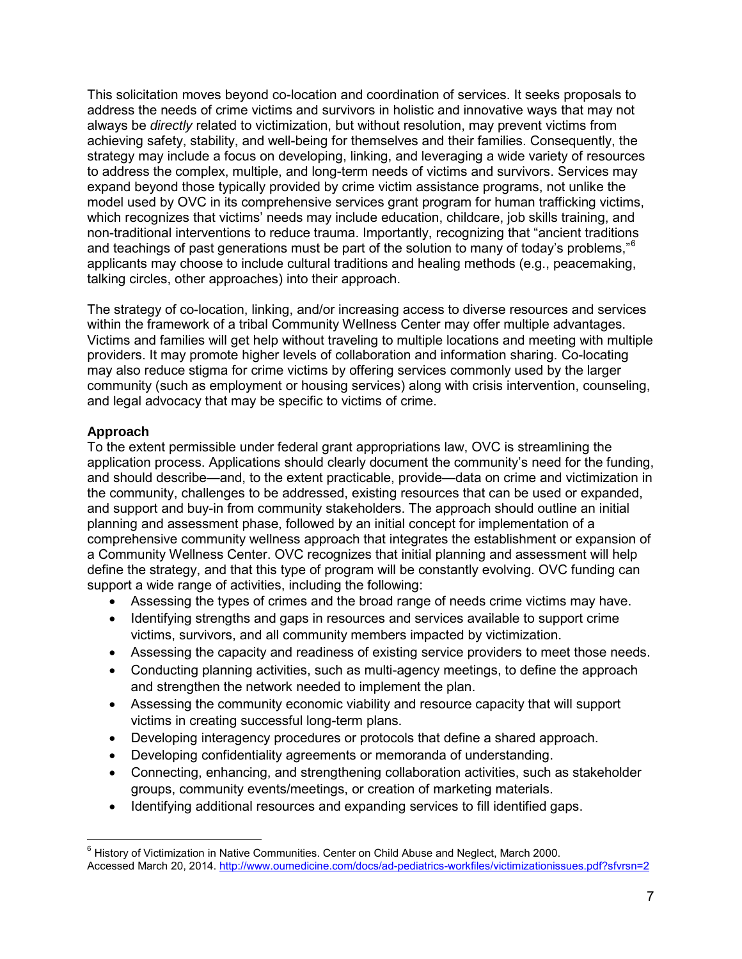This solicitation moves beyond co-location and coordination of services. It seeks proposals to address the needs of crime victims and survivors in holistic and innovative ways that may not always be *directly* related to victimization, but without resolution, may prevent victims from achieving safety, stability, and well-being for themselves and their families. Consequently, the strategy may include a focus on developing, linking, and leveraging a wide variety of resources to address the complex, multiple, and long-term needs of victims and survivors. Services may expand beyond those typically provided by crime victim assistance programs, not unlike the model used by OVC in its comprehensive services grant program for human trafficking victims, which recognizes that victims' needs may include education, childcare, job skills training, and non-traditional interventions to reduce trauma. Importantly, recognizing that "ancient traditions and teachings of past generations must be part of the solution to many of today's problems,"[6](#page-6-0) applicants may choose to include cultural traditions and healing methods (e.g., peacemaking, talking circles, other approaches) into their approach.

The strategy of co-location, linking, and/or increasing access to diverse resources and services within the framework of a tribal Community Wellness Center may offer multiple advantages. Victims and families will get help without traveling to multiple locations and meeting with multiple providers. It may promote higher levels of collaboration and information sharing. Co-locating may also reduce stigma for crime victims by offering services commonly used by the larger community (such as employment or housing services) along with crisis intervention, counseling, and legal advocacy that may be specific to victims of crime.

#### **Approach**

 $\overline{\phantom{a}}$ 

To the extent permissible under federal grant appropriations law, OVC is streamlining the application process. Applications should clearly document the community's need for the funding, and should describe—and, to the extent practicable, provide—data on crime and victimization in the community, challenges to be addressed, existing resources that can be used or expanded, and support and buy-in from community stakeholders. The approach should outline an initial planning and assessment phase, followed by an initial concept for implementation of a comprehensive community wellness approach that integrates the establishment or expansion of a Community Wellness Center. OVC recognizes that initial planning and assessment will help define the strategy, and that this type of program will be constantly evolving. OVC funding can support a wide range of activities, including the following:

- Assessing the types of crimes and the broad range of needs crime victims may have.
- Identifying strengths and gaps in resources and services available to support crime victims, survivors, and all community members impacted by victimization.
- Assessing the capacity and readiness of existing service providers to meet those needs.
- Conducting planning activities, such as multi-agency meetings, to define the approach and strengthen the network needed to implement the plan.
- Assessing the community economic viability and resource capacity that will support victims in creating successful long-term plans.
- Developing interagency procedures or protocols that define a shared approach.
- Developing confidentiality agreements or memoranda of understanding.
- Connecting, enhancing, and strengthening collaboration activities, such as stakeholder groups, community events/meetings, or creation of marketing materials.
- Identifying additional resources and expanding services to fill identified gaps.

<span id="page-6-0"></span> $6$  History of Victimization in Native Communities. Center on Child Abuse and Neglect, March 2000. Accessed March 20, 2014.<http://www.oumedicine.com/docs/ad-pediatrics-workfiles/victimizationissues.pdf?sfvrsn=2>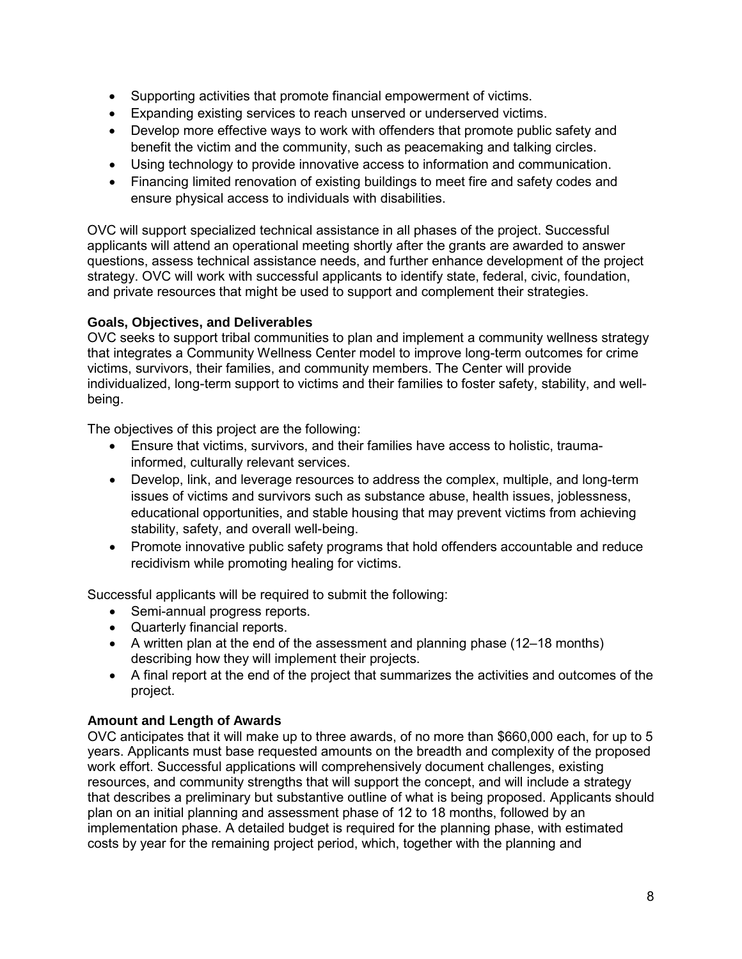- Supporting activities that promote financial empowerment of victims.
- Expanding existing services to reach unserved or underserved victims.
- Develop more effective ways to work with offenders that promote public safety and benefit the victim and the community, such as peacemaking and talking circles.
- Using technology to provide innovative access to information and communication.
- Financing limited renovation of existing buildings to meet fire and safety codes and ensure physical access to individuals with disabilities.

OVC will support specialized technical assistance in all phases of the project. Successful applicants will attend an operational meeting shortly after the grants are awarded to answer questions, assess technical assistance needs, and further enhance development of the project strategy. OVC will work with successful applicants to identify state, federal, civic, foundation, and private resources that might be used to support and complement their strategies.

#### **Goals, Objectives, and Deliverables**

OVC seeks to support tribal communities to plan and implement a community wellness strategy that integrates a Community Wellness Center model to improve long-term outcomes for crime victims, survivors, their families, and community members. The Center will provide individualized, long-term support to victims and their families to foster safety, stability, and wellbeing.

The objectives of this project are the following:

- Ensure that victims, survivors, and their families have access to holistic, traumainformed, culturally relevant services.
- Develop, link, and leverage resources to address the complex, multiple, and long-term issues of victims and survivors such as substance abuse, health issues, joblessness, educational opportunities, and stable housing that may prevent victims from achieving stability, safety, and overall well-being.
- Promote innovative public safety programs that hold offenders accountable and reduce recidivism while promoting healing for victims.

Successful applicants will be required to submit the following:

- Semi-annual progress reports.
- Quarterly financial reports.
- A written plan at the end of the assessment and planning phase (12–18 months) describing how they will implement their projects.
- A final report at the end of the project that summarizes the activities and outcomes of the project.

#### **Amount and Length of Awards**

OVC anticipates that it will make up to three awards, of no more than \$660,000 each, for up to 5 years. Applicants must base requested amounts on the breadth and complexity of the proposed work effort. Successful applications will comprehensively document challenges, existing resources, and community strengths that will support the concept, and will include a strategy that describes a preliminary but substantive outline of what is being proposed. Applicants should plan on an initial planning and assessment phase of 12 to 18 months, followed by an implementation phase. A detailed budget is required for the planning phase, with estimated costs by year for the remaining project period, which, together with the planning and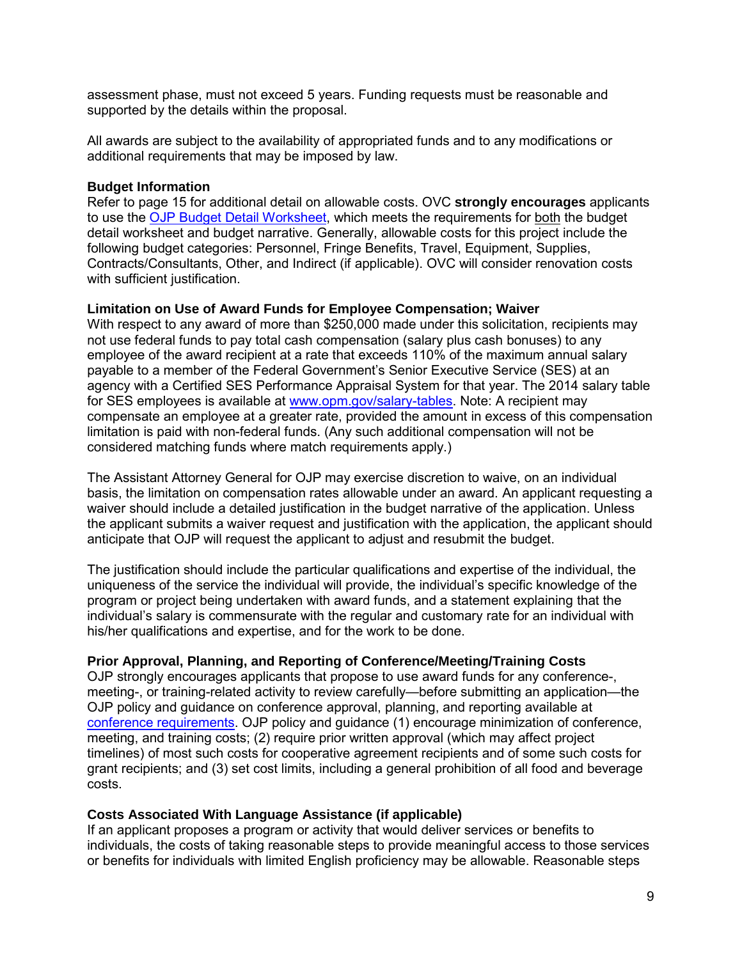assessment phase, must not exceed 5 years. Funding requests must be reasonable and supported by the details within the proposal.

All awards are subject to the availability of appropriated funds and to any modifications or additional requirements that may be imposed by law.

#### **Budget Information**

Refer to page 15 for additional detail on allowable costs. OVC **strongly encourages** applicants to use the [OJP Budget Detail Worksheet,](http://ojp.gov/funding/forms/budget_detail.pdf) which meets the requirements for both the budget detail worksheet and budget narrative. Generally, allowable costs for this project include the following budget categories: Personnel, Fringe Benefits, Travel, Equipment, Supplies, Contracts/Consultants, Other, and Indirect (if applicable). OVC will consider renovation costs with sufficient justification.

#### **Limitation on Use of Award Funds for Employee Compensation; Waiver**

With respect to any award of more than \$250,000 made under this solicitation, recipients may not use federal funds to pay total cash compensation (salary plus cash bonuses) to any employee of the award recipient at a rate that exceeds 110% of the maximum annual salary payable to a member of the Federal Government's Senior Executive Service (SES) at an agency with a Certified SES Performance Appraisal System for that year. The 2014 salary table for SES employees is available at [www.opm.gov/salary-tables.](http://www.opm.gov/policy-data-oversight/pay-leave/salaries-wages/salary-tables/14Tables/exec/html/ES.aspx) Note: A recipient may compensate an employee at a greater rate, provided the amount in excess of this compensation limitation is paid with non-federal funds. (Any such additional compensation will not be considered matching funds where match requirements apply.)

The Assistant Attorney General for OJP may exercise discretion to waive, on an individual basis, the limitation on compensation rates allowable under an award. An applicant requesting a waiver should include a detailed justification in the budget narrative of the application. Unless the applicant submits a waiver request and justification with the application, the applicant should anticipate that OJP will request the applicant to adjust and resubmit the budget.

The justification should include the particular qualifications and expertise of the individual, the uniqueness of the service the individual will provide, the individual's specific knowledge of the program or project being undertaken with award funds, and a statement explaining that the individual's salary is commensurate with the regular and customary rate for an individual with his/her qualifications and expertise, and for the work to be done.

#### **Prior Approval, Planning, and Reporting of Conference/Meeting/Training Costs**

OJP strongly encourages applicants that propose to use award funds for any conference-, meeting-, or training-related activity to review carefully—before submitting an application—the OJP policy and guidance on conference approval, planning, and reporting available at [conference requirements.](http://ojp.gov/financialguide/PostawardRequirements/chapter15page1.htm) OJP policy and guidance (1) encourage minimization of conference, meeting, and training costs; (2) require prior written approval (which may affect project timelines) of most such costs for cooperative agreement recipients and of some such costs for grant recipients; and (3) set cost limits, including a general prohibition of all food and beverage costs.

#### **Costs Associated With Language Assistance (if applicable)**

If an applicant proposes a program or activity that would deliver services or benefits to individuals, the costs of taking reasonable steps to provide meaningful access to those services or benefits for individuals with limited English proficiency may be allowable. Reasonable steps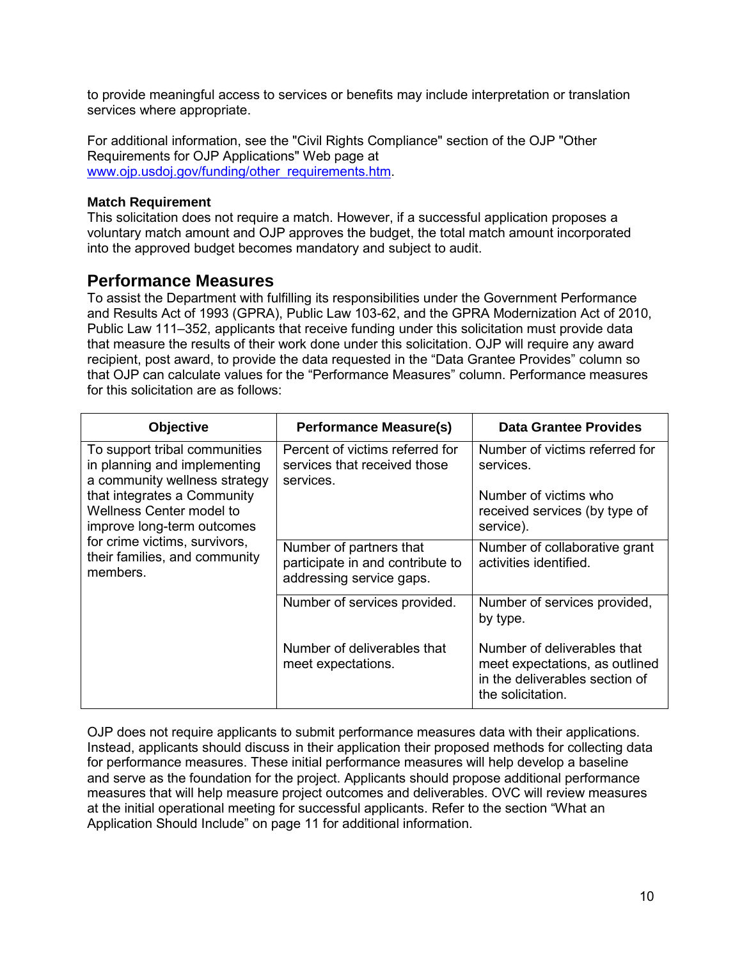to provide meaningful access to services or benefits may include interpretation or translation services where appropriate.

For additional information, see the "Civil Rights Compliance" section of the OJP "Other Requirements for OJP Applications" Web page at [www.ojp.usdoj.gov/funding/other\\_requirements.htm.](http://www.ojp.usdoj.gov/funding/other_requirements.htm)

#### **Match Requirement**

This solicitation does not require a match. However, if a successful application proposes a voluntary match amount and OJP approves the budget, the total match amount incorporated into the approved budget becomes mandatory and subject to audit.

#### <span id="page-9-0"></span>**Performance Measures**

To assist the Department with fulfilling its responsibilities under the Government Performance and Results Act of 1993 (GPRA), Public Law 103-62, and the GPRA Modernization Act of 2010, Public Law 111–352, applicants that receive funding under this solicitation must provide data that measure the results of their work done under this solicitation. OJP will require any award recipient, post award, to provide the data requested in the "Data Grantee Provides" column so that OJP can calculate values for the "Performance Measures" column. Performance measures for this solicitation are as follows:

| <b>Objective</b>                                                                                                                                                                                                                                                      | <b>Performance Measure(s)</b>                                                           | Data Grantee Provides                                                                                                |
|-----------------------------------------------------------------------------------------------------------------------------------------------------------------------------------------------------------------------------------------------------------------------|-----------------------------------------------------------------------------------------|----------------------------------------------------------------------------------------------------------------------|
| To support tribal communities<br>in planning and implementing<br>a community wellness strategy<br>that integrates a Community<br>Wellness Center model to<br>improve long-term outcomes<br>for crime victims, survivors,<br>their families, and community<br>members. | Percent of victims referred for<br>services that received those<br>services.            | Number of victims referred for<br>services.                                                                          |
|                                                                                                                                                                                                                                                                       |                                                                                         | Number of victims who<br>received services (by type of<br>service).                                                  |
|                                                                                                                                                                                                                                                                       | Number of partners that<br>participate in and contribute to<br>addressing service gaps. | Number of collaborative grant<br>activities identified.                                                              |
|                                                                                                                                                                                                                                                                       | Number of services provided.                                                            | Number of services provided,<br>by type.                                                                             |
|                                                                                                                                                                                                                                                                       | Number of deliverables that<br>meet expectations.                                       | Number of deliverables that<br>meet expectations, as outlined<br>in the deliverables section of<br>the solicitation. |

OJP does not require applicants to submit performance measures data with their applications. Instead, applicants should discuss in their application their proposed methods for collecting data for performance measures. These initial performance measures will help develop a baseline and serve as the foundation for the project. Applicants should propose additional performance measures that will help measure project outcomes and deliverables. OVC will review measures at the initial operational meeting for successful applicants. Refer to the section "What an Application Should Include" on page 11 for additional information.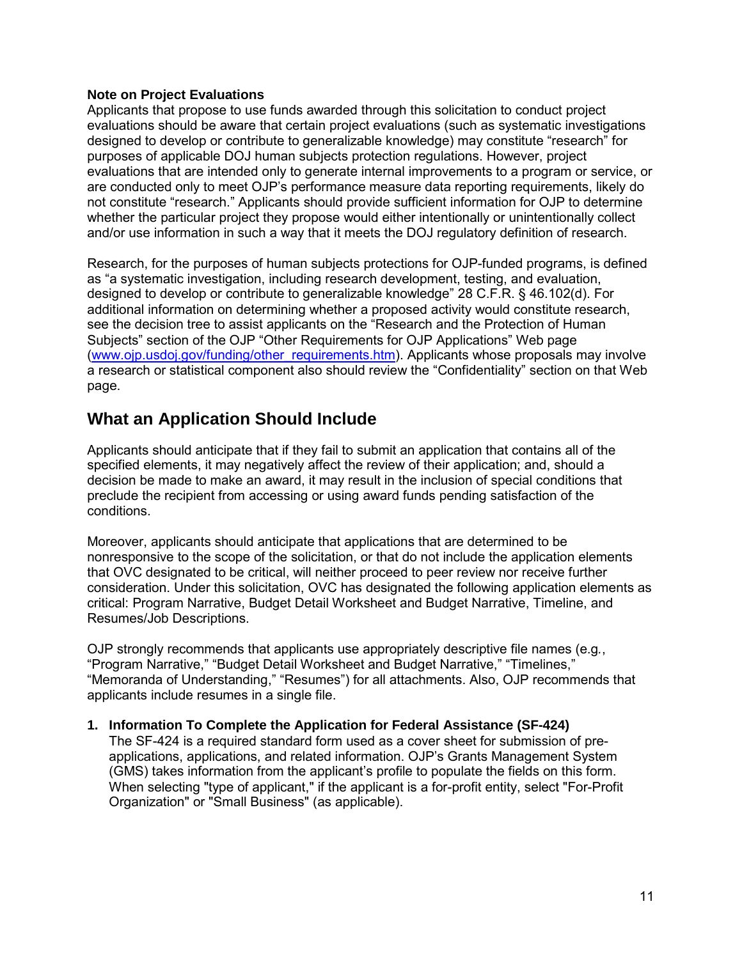#### **Note on Project Evaluations**

Applicants that propose to use funds awarded through this solicitation to conduct project evaluations should be aware that certain project evaluations (such as systematic investigations designed to develop or contribute to generalizable knowledge) may constitute "research" for purposes of applicable DOJ human subjects protection regulations. However, project evaluations that are intended only to generate internal improvements to a program or service, or are conducted only to meet OJP's performance measure data reporting requirements, likely do not constitute "research." Applicants should provide sufficient information for OJP to determine whether the particular project they propose would either intentionally or unintentionally collect and/or use information in such a way that it meets the DOJ regulatory definition of research.

Research, for the purposes of human subjects protections for OJP-funded programs, is defined as "a systematic investigation, including research development, testing, and evaluation, designed to develop or contribute to generalizable knowledge" 28 C.F.R. § 46.102(d). For additional information on determining whether a proposed activity would constitute research, see the decision tree to assist applicants on the "Research and the Protection of Human Subjects" section of the OJP "Other Requirements for OJP Applications" Web page (www.oip.usdoj.gov/funding/other\_requirements.htm). Applicants whose proposals may involve a research or statistical component also should review the "Confidentiality" section on that Web page.

### <span id="page-10-0"></span>**What an Application Should Include**

Applicants should anticipate that if they fail to submit an application that contains all of the specified elements, it may negatively affect the review of their application; and, should a decision be made to make an award, it may result in the inclusion of special conditions that preclude the recipient from accessing or using award funds pending satisfaction of the conditions.

Moreover, applicants should anticipate that applications that are determined to be nonresponsive to the scope of the solicitation, or that do not include the application elements that OVC designated to be critical, will neither proceed to peer review nor receive further consideration. Under this solicitation, OVC has designated the following application elements as critical: Program Narrative, Budget Detail Worksheet and Budget Narrative, Timeline, and Resumes/Job Descriptions.

OJP strongly recommends that applicants use appropriately descriptive file names (e.g*.*, "Program Narrative," "Budget Detail Worksheet and Budget Narrative," "Timelines," "Memoranda of Understanding," "Resumes") for all attachments. Also, OJP recommends that applicants include resumes in a single file.

#### <span id="page-10-1"></span>**1. Information To Complete the Application for Federal Assistance (SF-424)**

The SF-424 is a required standard form used as a cover sheet for submission of preapplications, applications, and related information. OJP's Grants Management System (GMS) takes information from the applicant's profile to populate the fields on this form. When selecting "type of applicant," if the applicant is a for-profit entity, select "For-Profit Organization" or "Small Business" (as applicable).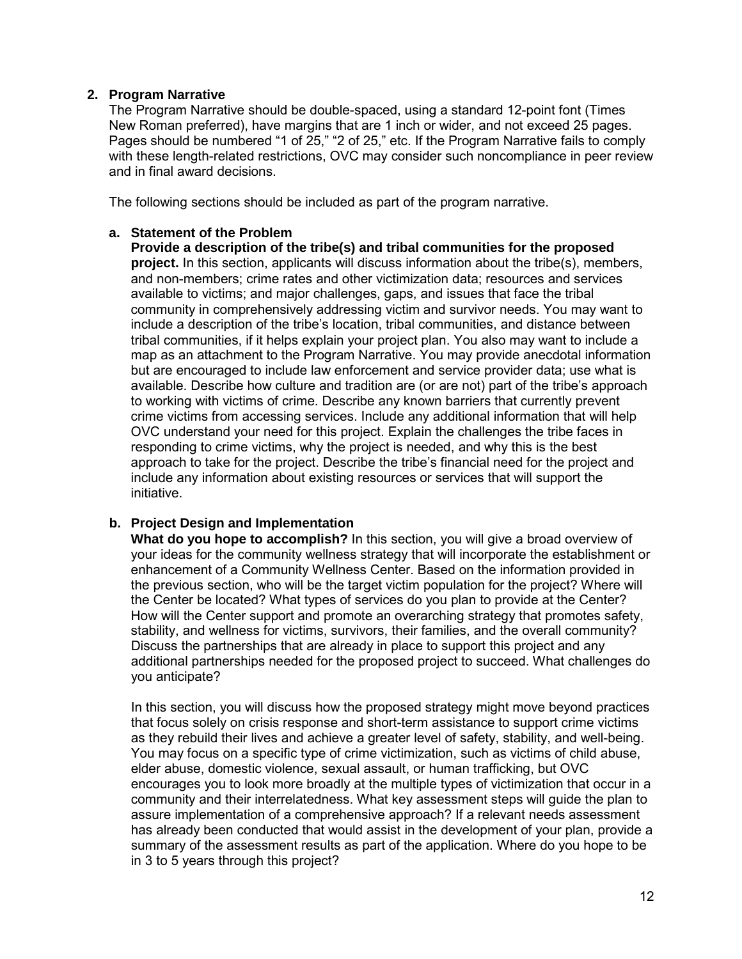#### <span id="page-11-0"></span>**2. Program Narrative**

The Program Narrative should be double-spaced, using a standard 12-point font (Times New Roman preferred), have margins that are 1 inch or wider, and not exceed 25 pages. Pages should be numbered "1 of 25," "2 of 25," etc. If the Program Narrative fails to comply with these length-related restrictions, OVC may consider such noncompliance in peer review and in final award decisions.

The following sections should be included as part of the program narrative.

#### **a. Statement of the Problem**

**Provide a description of the tribe(s) and tribal communities for the proposed project.** In this section, applicants will discuss information about the tribe(s), members, and non-members; crime rates and other victimization data; resources and services available to victims; and major challenges, gaps, and issues that face the tribal community in comprehensively addressing victim and survivor needs. You may want to include a description of the tribe's location, tribal communities, and distance between tribal communities, if it helps explain your project plan. You also may want to include a map as an attachment to the Program Narrative. You may provide anecdotal information but are encouraged to include law enforcement and service provider data; use what is available. Describe how culture and tradition are (or are not) part of the tribe's approach to working with victims of crime. Describe any known barriers that currently prevent crime victims from accessing services. Include any additional information that will help OVC understand your need for this project. Explain the challenges the tribe faces in responding to crime victims, why the project is needed, and why this is the best approach to take for the project. Describe the tribe's financial need for the project and include any information about existing resources or services that will support the initiative.

#### **b. Project Design and Implementation**

**What do you hope to accomplish?** In this section, you will give a broad overview of your ideas for the community wellness strategy that will incorporate the establishment or enhancement of a Community Wellness Center. Based on the information provided in the previous section, who will be the target victim population for the project? Where will the Center be located? What types of services do you plan to provide at the Center? How will the Center support and promote an overarching strategy that promotes safety, stability, and wellness for victims, survivors, their families, and the overall community? Discuss the partnerships that are already in place to support this project and any additional partnerships needed for the proposed project to succeed. What challenges do you anticipate?

In this section, you will discuss how the proposed strategy might move beyond practices that focus solely on crisis response and short-term assistance to support crime victims as they rebuild their lives and achieve a greater level of safety, stability, and well-being. You may focus on a specific type of crime victimization, such as victims of child abuse, elder abuse, domestic violence, sexual assault, or human trafficking, but OVC encourages you to look more broadly at the multiple types of victimization that occur in a community and their interrelatedness. What key assessment steps will guide the plan to assure implementation of a comprehensive approach? If a relevant needs assessment has already been conducted that would assist in the development of your plan, provide a summary of the assessment results as part of the application. Where do you hope to be in 3 to 5 years through this project?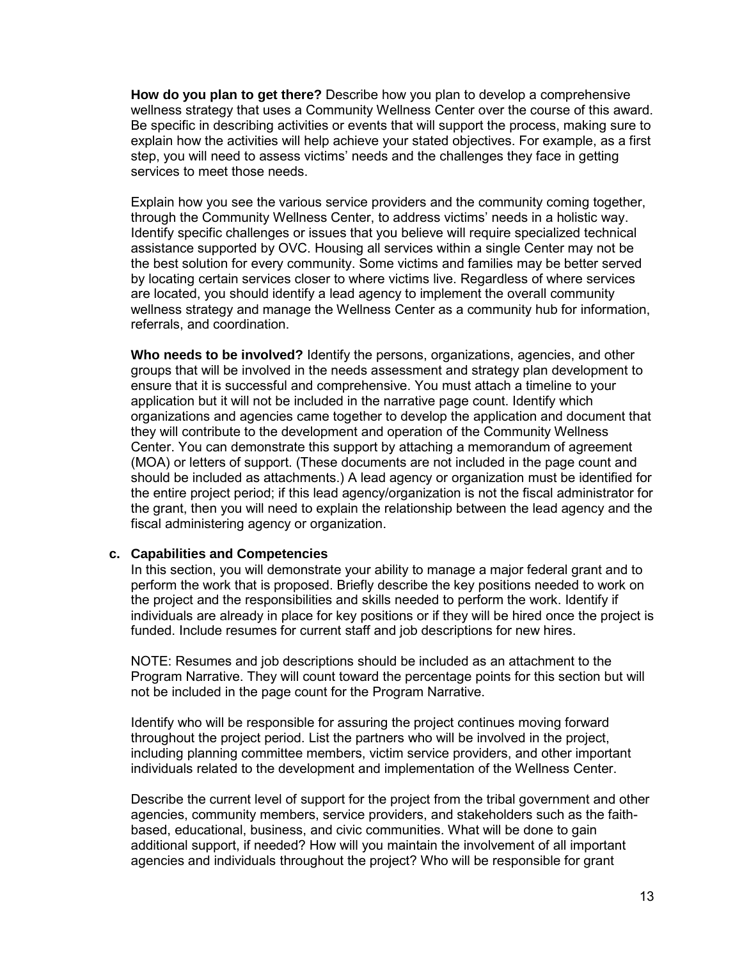**How do you plan to get there?** Describe how you plan to develop a comprehensive wellness strategy that uses a Community Wellness Center over the course of this award. Be specific in describing activities or events that will support the process, making sure to explain how the activities will help achieve your stated objectives. For example, as a first step, you will need to assess victims' needs and the challenges they face in getting services to meet those needs.

Explain how you see the various service providers and the community coming together, through the Community Wellness Center, to address victims' needs in a holistic way. Identify specific challenges or issues that you believe will require specialized technical assistance supported by OVC. Housing all services within a single Center may not be the best solution for every community. Some victims and families may be better served by locating certain services closer to where victims live. Regardless of where services are located, you should identify a lead agency to implement the overall community wellness strategy and manage the Wellness Center as a community hub for information, referrals, and coordination.

**Who needs to be involved?** Identify the persons, organizations, agencies, and other groups that will be involved in the needs assessment and strategy plan development to ensure that it is successful and comprehensive. You must attach a timeline to your application but it will not be included in the narrative page count. Identify which organizations and agencies came together to develop the application and document that they will contribute to the development and operation of the Community Wellness Center. You can demonstrate this support by attaching a memorandum of agreement (MOA) or letters of support. (These documents are not included in the page count and should be included as attachments.) A lead agency or organization must be identified for the entire project period; if this lead agency/organization is not the fiscal administrator for the grant, then you will need to explain the relationship between the lead agency and the fiscal administering agency or organization.

#### **c. Capabilities and Competencies**

In this section, you will demonstrate your ability to manage a major federal grant and to perform the work that is proposed. Briefly describe the key positions needed to work on the project and the responsibilities and skills needed to perform the work. Identify if individuals are already in place for key positions or if they will be hired once the project is funded. Include resumes for current staff and job descriptions for new hires.

NOTE: Resumes and job descriptions should be included as an attachment to the Program Narrative. They will count toward the percentage points for this section but will not be included in the page count for the Program Narrative.

Identify who will be responsible for assuring the project continues moving forward throughout the project period. List the partners who will be involved in the project, including planning committee members, victim service providers, and other important individuals related to the development and implementation of the Wellness Center.

Describe the current level of support for the project from the tribal government and other agencies, community members, service providers, and stakeholders such as the faithbased, educational, business, and civic communities. What will be done to gain additional support, if needed? How will you maintain the involvement of all important agencies and individuals throughout the project? Who will be responsible for grant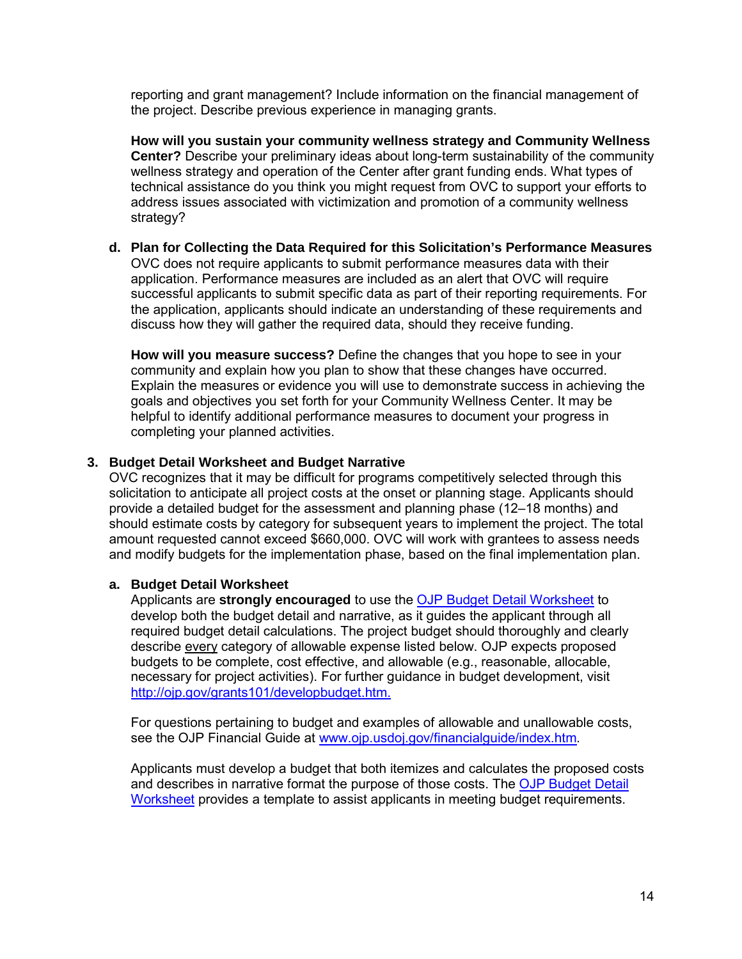reporting and grant management? Include information on the financial management of the project. Describe previous experience in managing grants.

**How will you sustain your community wellness strategy and Community Wellness Center?** Describe your preliminary ideas about long-term sustainability of the community wellness strategy and operation of the Center after grant funding ends. What types of technical assistance do you think you might request from OVC to support your efforts to address issues associated with victimization and promotion of a community wellness strategy?

**d. Plan for Collecting the Data Required for this Solicitation's Performance Measures** OVC does not require applicants to submit performance measures data with their application. Performance measures are included as an alert that OVC will require successful applicants to submit specific data as part of their reporting requirements. For the application, applicants should indicate an understanding of these requirements and discuss how they will gather the required data, should they receive funding.

**How will you measure success?** Define the changes that you hope to see in your community and explain how you plan to show that these changes have occurred. Explain the measures or evidence you will use to demonstrate success in achieving the goals and objectives you set forth for your Community Wellness Center. It may be helpful to identify additional performance measures to document your progress in completing your planned activities.

#### <span id="page-13-0"></span>**3. Budget Detail Worksheet and Budget Narrative**

OVC recognizes that it may be difficult for programs competitively selected through this solicitation to anticipate all project costs at the onset or planning stage. Applicants should provide a detailed budget for the assessment and planning phase (12–18 months) and should estimate costs by category for subsequent years to implement the project. The total amount requested cannot exceed \$660,000. OVC will work with grantees to assess needs and modify budgets for the implementation phase, based on the final implementation plan.

#### **a. Budget Detail Worksheet**

Applicants are **strongly encouraged** to use the [OJP Budget Detail Worksheet](http://ojp.gov/funding/forms/budget_detail.pdf) to develop both the budget detail and narrative, as it guides the applicant through all required budget detail calculations. The project budget should thoroughly and clearly describe every category of allowable expense listed below. OJP expects proposed budgets to be complete, cost effective, and allowable (e.g., reasonable, allocable, necessary for project activities). For further guidance in budget development, visit [http://ojp.gov/grants101/developbudget.htm.](http://ojp.gov/grants101/developbudget.htm)

For questions pertaining to budget and examples of allowable and unallowable costs, see the OJP Financial Guide at [www.ojp.usdoj.gov/financialguide/index.htm](http://www.ojp.usdoj.gov/financialguide/index.htm)*.*

Applicants must develop a budget that both itemizes and calculates the proposed costs and describes in narrative format the purpose of those costs. The [OJP Budget Detail](http://ojp.gov/funding/forms/budget_detail.pdf)  [Worksheet](http://ojp.gov/funding/forms/budget_detail.pdf) provides a template to assist applicants in meeting budget requirements.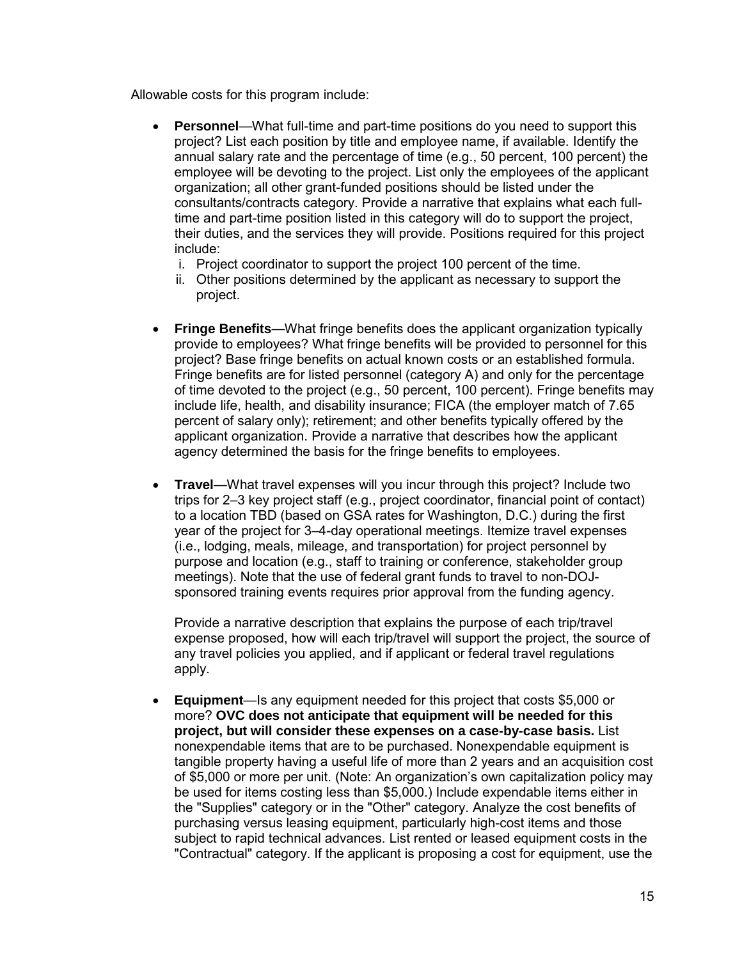Allowable costs for this program include:

- **Personnel**—What full-time and part-time positions do you need to support this project? List each position by title and employee name, if available. Identify the annual salary rate and the percentage of time (e.g., 50 percent, 100 percent) the employee will be devoting to the project. List only the employees of the applicant organization; all other grant-funded positions should be listed under the consultants/contracts category. Provide a narrative that explains what each fulltime and part-time position listed in this category will do to support the project, their duties, and the services they will provide. Positions required for this project include:
	- i. Project coordinator to support the project 100 percent of the time.
	- ii. Other positions determined by the applicant as necessary to support the project.
- **Fringe Benefits**—What fringe benefits does the applicant organization typically provide to employees? What fringe benefits will be provided to personnel for this project? Base fringe benefits on actual known costs or an established formula. Fringe benefits are for listed personnel (category A) and only for the percentage of time devoted to the project (e.g., 50 percent, 100 percent). Fringe benefits may include life, health, and disability insurance; FICA (the employer match of 7.65 percent of salary only); retirement; and other benefits typically offered by the applicant organization. Provide a narrative that describes how the applicant agency determined the basis for the fringe benefits to employees.
- **Travel**—What travel expenses will you incur through this project? Include two trips for 2–3 key project staff (e.g., project coordinator, financial point of contact) to a location TBD (based on GSA rates for Washington, D.C.) during the first year of the project for 3–4-day operational meetings. Itemize travel expenses (i.e., lodging, meals, mileage, and transportation) for project personnel by purpose and location (e.g., staff to training or conference, stakeholder group meetings). Note that the use of federal grant funds to travel to non-DOJsponsored training events requires prior approval from the funding agency.

Provide a narrative description that explains the purpose of each trip/travel expense proposed, how will each trip/travel will support the project, the source of any travel policies you applied, and if applicant or federal travel regulations apply.

• **Equipment**—Is any equipment needed for this project that costs \$5,000 or more? **OVC does not anticipate that equipment will be needed for this project, but will consider these expenses on a case-by-case basis.** List nonexpendable items that are to be purchased. Nonexpendable equipment is tangible property having a useful life of more than 2 years and an acquisition cost of \$5,000 or more per unit. (Note: An organization's own capitalization policy may be used for items costing less than \$5,000.) Include expendable items either in the "Supplies" category or in the "Other" category. Analyze the cost benefits of purchasing versus leasing equipment, particularly high-cost items and those subject to rapid technical advances. List rented or leased equipment costs in the "Contractual" category. If the applicant is proposing a cost for equipment, use the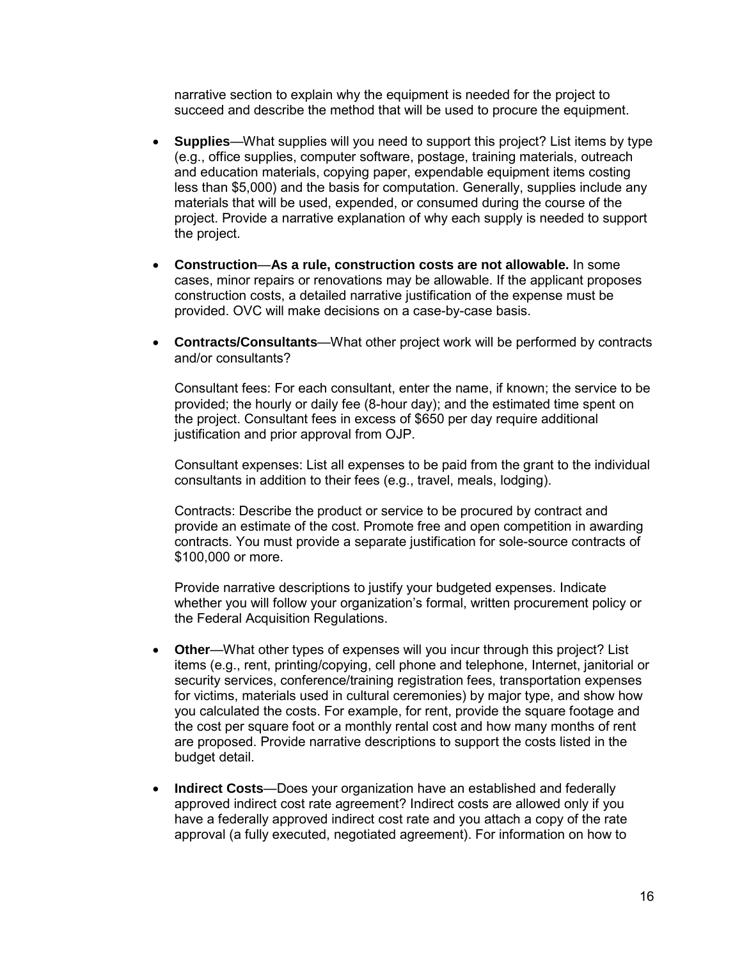narrative section to explain why the equipment is needed for the project to succeed and describe the method that will be used to procure the equipment.

- **Supplies**—What supplies will you need to support this project? List items by type (e.g., office supplies, computer software, postage, training materials, outreach and education materials, copying paper, expendable equipment items costing less than \$5,000) and the basis for computation. Generally, supplies include any materials that will be used, expended, or consumed during the course of the project. Provide a narrative explanation of why each supply is needed to support the project.
- **Construction**—**As a rule, construction costs are not allowable.** In some cases, minor repairs or renovations may be allowable. If the applicant proposes construction costs, a detailed narrative justification of the expense must be provided. OVC will make decisions on a case-by-case basis.
- **Contracts/Consultants**—What other project work will be performed by contracts and/or consultants?

Consultant fees: For each consultant, enter the name, if known; the service to be provided; the hourly or daily fee (8-hour day); and the estimated time spent on the project. Consultant fees in excess of \$650 per day require additional justification and prior approval from OJP.

Consultant expenses: List all expenses to be paid from the grant to the individual consultants in addition to their fees (e.g., travel, meals, lodging).

Contracts: Describe the product or service to be procured by contract and provide an estimate of the cost. Promote free and open competition in awarding contracts. You must provide a separate justification for sole-source contracts of \$100,000 or more.

Provide narrative descriptions to justify your budgeted expenses. Indicate whether you will follow your organization's formal, written procurement policy or the Federal Acquisition Regulations.

- **Other**—What other types of expenses will you incur through this project? List items (e.g., rent, printing/copying, cell phone and telephone, Internet, janitorial or security services, conference/training registration fees, transportation expenses for victims, materials used in cultural ceremonies) by major type, and show how you calculated the costs. For example, for rent, provide the square footage and the cost per square foot or a monthly rental cost and how many months of rent are proposed. Provide narrative descriptions to support the costs listed in the budget detail.
- **Indirect Costs**—Does your organization have an established and federally approved indirect cost rate agreement? Indirect costs are allowed only if you have a federally approved indirect cost rate and you attach a copy of the rate approval (a fully executed, negotiated agreement). For information on how to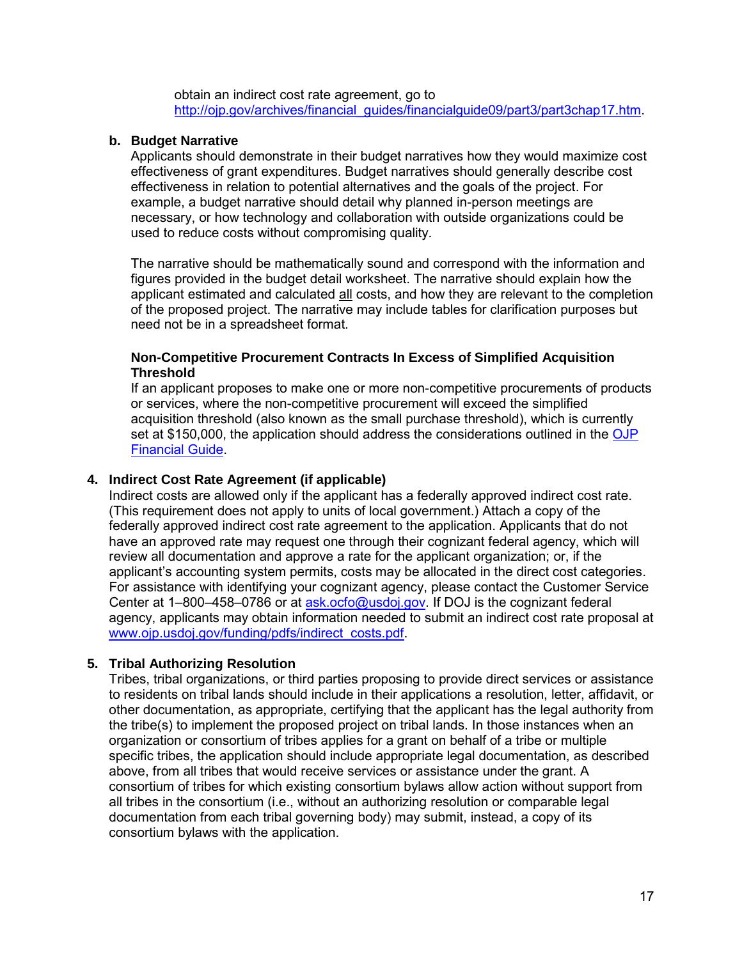obtain an indirect cost rate agreement, go to http://ojp.gov/archives/financial\_quides/financialguide09/part3/part3chap17.htm.

#### **b. Budget Narrative**

Applicants should demonstrate in their budget narratives how they would maximize cost effectiveness of grant expenditures. Budget narratives should generally describe cost effectiveness in relation to potential alternatives and the goals of the project. For example, a budget narrative should detail why planned in-person meetings are necessary, or how technology and collaboration with outside organizations could be used to reduce costs without compromising quality.

The narrative should be mathematically sound and correspond with the information and figures provided in the budget detail worksheet. The narrative should explain how the applicant estimated and calculated all costs, and how they are relevant to the completion of the proposed project. The narrative may include tables for clarification purposes but need not be in a spreadsheet format.

#### **Non-Competitive Procurement Contracts In Excess of Simplified Acquisition Threshold**

If an applicant proposes to make one or more non-competitive procurements of products or services, where the non-competitive procurement will exceed the simplified acquisition threshold (also known as the small purchase threshold), which is currently set at \$150,000, the application should address the considerations outlined in the OJP [Financial Guide.](http://www.ojp.usdoj.gov/financialguide/index.htm)

#### <span id="page-16-0"></span>**4. Indirect Cost Rate Agreement (if applicable)**

Indirect costs are allowed only if the applicant has a federally approved indirect cost rate. (This requirement does not apply to units of local government.) Attach a copy of the federally approved indirect cost rate agreement to the application. Applicants that do not have an approved rate may request one through their cognizant federal agency, which will review all documentation and approve a rate for the applicant organization; or, if the applicant's accounting system permits, costs may be allocated in the direct cost categories. For assistance with identifying your cognizant agency, please contact the Customer Service Center at 1-800-458-0786 or at [ask.ocfo@usdoj.gov.](mailto:ask.ocfo@usdoj.gov) If DOJ is the cognizant federal agency, applicants may obtain information needed to submit an indirect cost rate proposal at [www.ojp.usdoj.gov/funding/pdfs/indirect\\_costs.pdf.](http://www.ojp.usdoj.gov/funding/pdfs/indirect_costs.pdf)

#### <span id="page-16-1"></span>**5. Tribal Authorizing Resolution**

Tribes, tribal organizations, or third parties proposing to provide direct services or assistance to residents on tribal lands should include in their applications a resolution, letter, affidavit, or other documentation, as appropriate, certifying that the applicant has the legal authority from the tribe(s) to implement the proposed project on tribal lands. In those instances when an organization or consortium of tribes applies for a grant on behalf of a tribe or multiple specific tribes, the application should include appropriate legal documentation, as described above, from all tribes that would receive services or assistance under the grant. A consortium of tribes for which existing consortium bylaws allow action without support from all tribes in the consortium (i.e., without an authorizing resolution or comparable legal documentation from each tribal governing body) may submit, instead, a copy of its consortium bylaws with the application.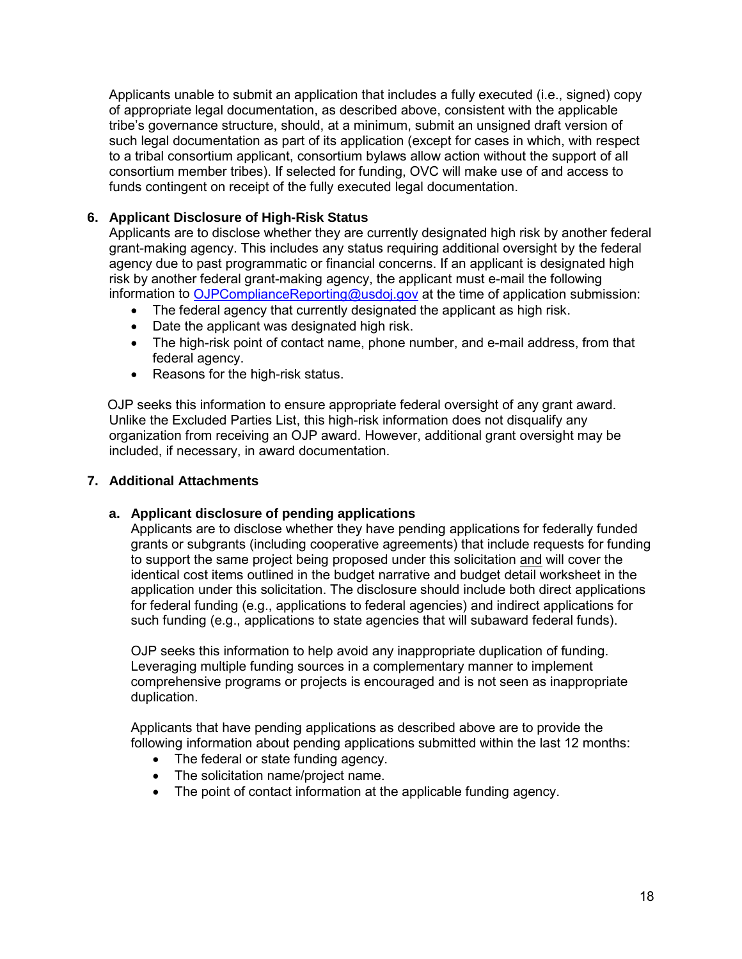<span id="page-17-0"></span>Applicants unable to submit an application that includes a fully executed (i.e., signed) copy of appropriate legal documentation, as described above, consistent with the applicable tribe's governance structure, should, at a minimum, submit an unsigned draft version of such legal documentation as part of its application (except for cases in which, with respect to a tribal consortium applicant, consortium bylaws allow action without the support of all consortium member tribes). If selected for funding, OVC will make use of and access to funds contingent on receipt of the fully executed legal documentation.

#### **6. Applicant Disclosure of High-Risk Status**

Applicants are to disclose whether they are currently designated high risk by another federal grant-making agency. This includes any status requiring additional oversight by the federal agency due to past programmatic or financial concerns. If an applicant is designated high risk by another federal grant-making agency, the applicant must e-mail the following information to [OJPComplianceReporting@usdoj.gov](mailto:OJPComplianceReporting@usdoj.gov) at the time of application submission:

- The federal agency that currently designated the applicant as high risk.
- Date the applicant was designated high risk.
- The high-risk point of contact name, phone number, and e-mail address, from that federal agency.
- Reasons for the high-risk status.

OJP seeks this information to ensure appropriate federal oversight of any grant award. Unlike the Excluded Parties List, this high-risk information does not disqualify any organization from receiving an OJP award. However, additional grant oversight may be included, if necessary, in award documentation.

#### **7. Additional Attachments**

#### **a. Applicant disclosure of pending applications**

Applicants are to disclose whether they have pending applications for federally funded grants or subgrants (including cooperative agreements) that include requests for funding to support the same project being proposed under this solicitation and will cover the identical cost items outlined in the budget narrative and budget detail worksheet in the application under this solicitation. The disclosure should include both direct applications for federal funding (e.g., applications to federal agencies) and indirect applications for such funding (e.g., applications to state agencies that will subaward federal funds).

OJP seeks this information to help avoid any inappropriate duplication of funding. Leveraging multiple funding sources in a complementary manner to implement comprehensive programs or projects is encouraged and is not seen as inappropriate duplication.

Applicants that have pending applications as described above are to provide the following information about pending applications submitted within the last 12 months:

- The federal or state funding agency.
- The solicitation name/project name.
- The point of contact information at the applicable funding agency.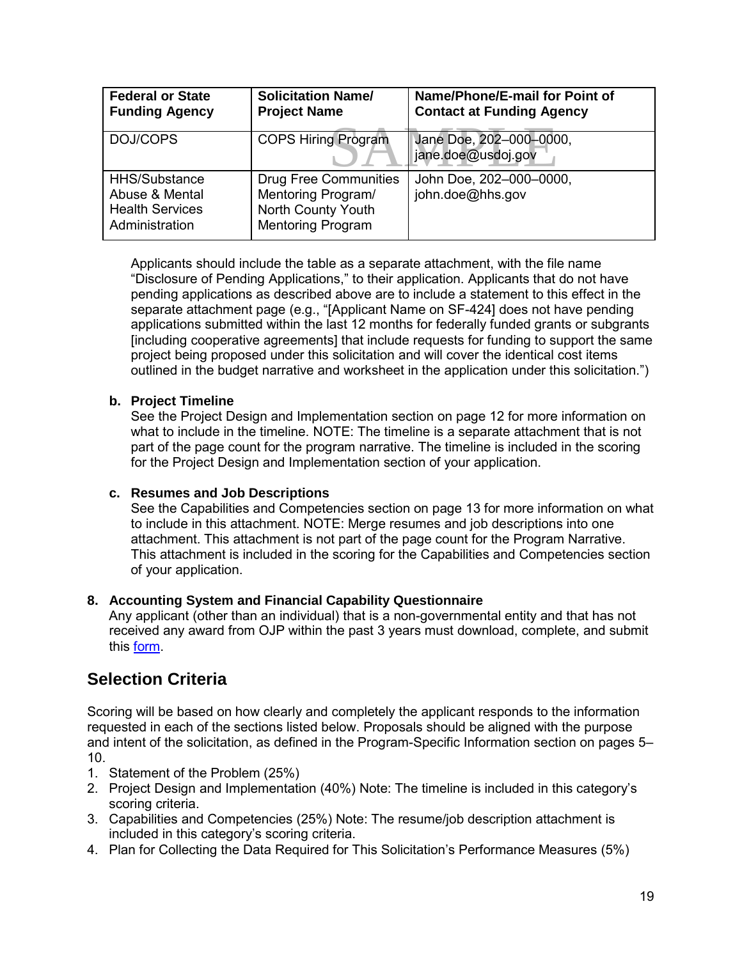<span id="page-18-1"></span>

| <b>Federal or State</b><br><b>Funding Agency</b>                            | <b>Solicitation Name/</b><br><b>Project Name</b>                                                     | Name/Phone/E-mail for Point of<br><b>Contact at Funding Agency</b> |
|-----------------------------------------------------------------------------|------------------------------------------------------------------------------------------------------|--------------------------------------------------------------------|
| DOJ/COPS                                                                    | <b>COPS Hiring Program</b>                                                                           | Jane Doe, 202-000-0000,<br>jane.doe@usdoj.gov                      |
| HHS/Substance<br>Abuse & Mental<br><b>Health Services</b><br>Administration | <b>Drug Free Communities</b><br>Mentoring Program/<br>North County Youth<br><b>Mentoring Program</b> | John Doe, 202-000-0000,<br>john.doe@hhs.gov                        |

Applicants should include the table as a separate attachment, with the file name "Disclosure of Pending Applications," to their application. Applicants that do not have pending applications as described above are to include a statement to this effect in the separate attachment page (e.g., "[Applicant Name on SF-424] does not have pending applications submitted within the last 12 months for federally funded grants or subgrants [including cooperative agreements] that include requests for funding to support the same project being proposed under this solicitation and will cover the identical cost items outlined in the budget narrative and worksheet in the application under this solicitation.")

#### **b. Project Timeline**

See the Project Design and Implementation section on page 12 for more information on what to include in the timeline. NOTE: The timeline is a separate attachment that is not part of the page count for the program narrative. The timeline is included in the scoring for the Project Design and Implementation section of your application.

#### **c. Resumes and Job Descriptions**

See the Capabilities and Competencies section on page 13 for more information on what to include in this attachment. NOTE: Merge resumes and job descriptions into one attachment. This attachment is not part of the page count for the Program Narrative. This attachment is included in the scoring for the Capabilities and Competencies section of your application.

#### **8. Accounting System and Financial Capability Questionnaire**

Any applicant (other than an individual) that is a non-governmental entity and that has not received any award from OJP within the past 3 years must download, complete, and submit this [form.](http://www.ojp.usdoj.gov/funding/forms/financial_capability.pdf)

## <span id="page-18-0"></span>**Selection Criteria**

Scoring will be based on how clearly and completely the applicant responds to the information requested in each of the sections listed below. Proposals should be aligned with the purpose and intent of the solicitation, as defined in the Program-Specific Information section on pages 5– 10.

- 1. Statement of the Problem (25%)
- 2. Project Design and Implementation (40%) Note: The timeline is included in this category's scoring criteria.
- 3. Capabilities and Competencies (25%) Note: The resume/job description attachment is included in this category's scoring criteria.
- 4. Plan for Collecting the Data Required for This Solicitation's Performance Measures (5%)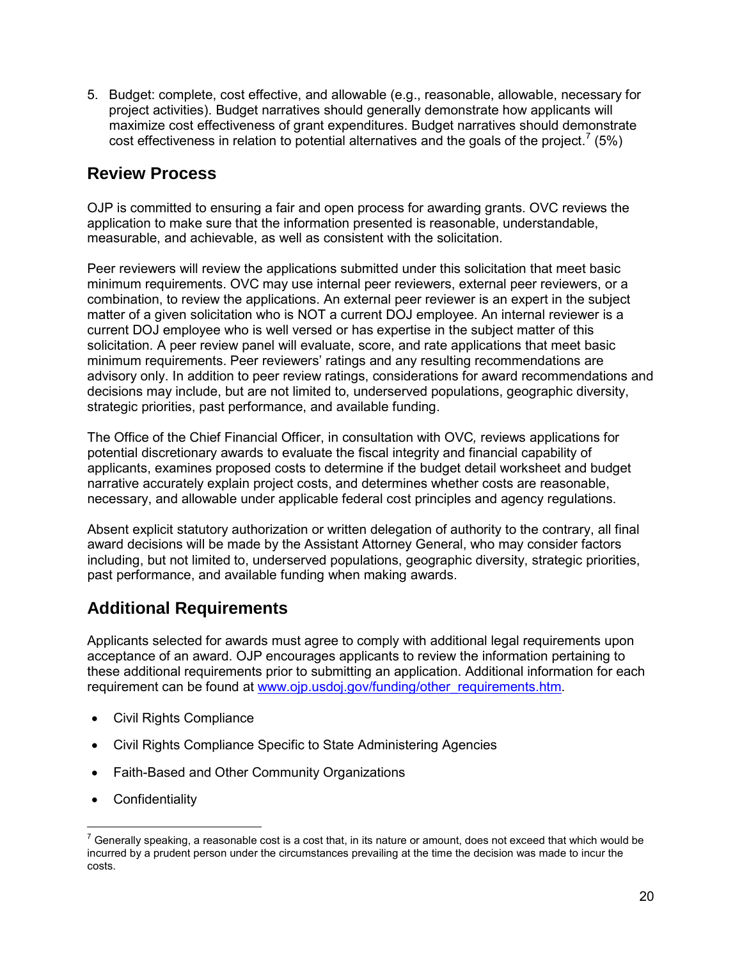5. Budget: complete, cost effective, and allowable (e.g., reasonable, allowable, necessary for project activities). Budget narratives should generally demonstrate how applicants will maximize cost effectiveness of grant expenditures. Budget narratives should demonstrate cost effectiveness in relation to potential alternatives and the goals of the project.<sup>[7](#page-19-2)</sup> (5%)

## <span id="page-19-0"></span>**Review Process**

OJP is committed to ensuring a fair and open process for awarding grants. OVC reviews the application to make sure that the information presented is reasonable, understandable, measurable, and achievable, as well as consistent with the solicitation.

Peer reviewers will review the applications submitted under this solicitation that meet basic minimum requirements. OVC may use internal peer reviewers, external peer reviewers, or a combination, to review the applications. An external peer reviewer is an expert in the subject matter of a given solicitation who is NOT a current DOJ employee. An internal reviewer is a current DOJ employee who is well versed or has expertise in the subject matter of this solicitation. A peer review panel will evaluate, score, and rate applications that meet basic minimum requirements. Peer reviewers' ratings and any resulting recommendations are advisory only. In addition to peer review ratings, considerations for award recommendations and decisions may include, but are not limited to, underserved populations, geographic diversity, strategic priorities, past performance, and available funding.

The Office of the Chief Financial Officer, in consultation with OVC*,* reviews applications for potential discretionary awards to evaluate the fiscal integrity and financial capability of applicants, examines proposed costs to determine if the budget detail worksheet and budget narrative accurately explain project costs, and determines whether costs are reasonable, necessary, and allowable under applicable federal cost principles and agency regulations.

Absent explicit statutory authorization or written delegation of authority to the contrary, all final award decisions will be made by the Assistant Attorney General, who may consider factors including, but not limited to, underserved populations, geographic diversity, strategic priorities, past performance, and available funding when making awards.

## <span id="page-19-1"></span>**Additional Requirements**

Applicants selected for awards must agree to comply with additional legal requirements upon acceptance of an award. OJP encourages applicants to review the information pertaining to these additional requirements prior to submitting an application. Additional information for each requirement can be found at [www.ojp.usdoj.gov/funding/other\\_requirements.htm.](http://www.ojp.usdoj.gov/funding/other_requirements.htm)

- Civil Rights Compliance
- Civil Rights Compliance Specific to State Administering Agencies
- Faith-Based and Other Community Organizations
- Confidentiality

 $\overline{a}$ 

<span id="page-19-2"></span> $7$  Generally speaking, a reasonable cost is a cost that, in its nature or amount, does not exceed that which would be incurred by a prudent person under the circumstances prevailing at the time the decision was made to incur the costs.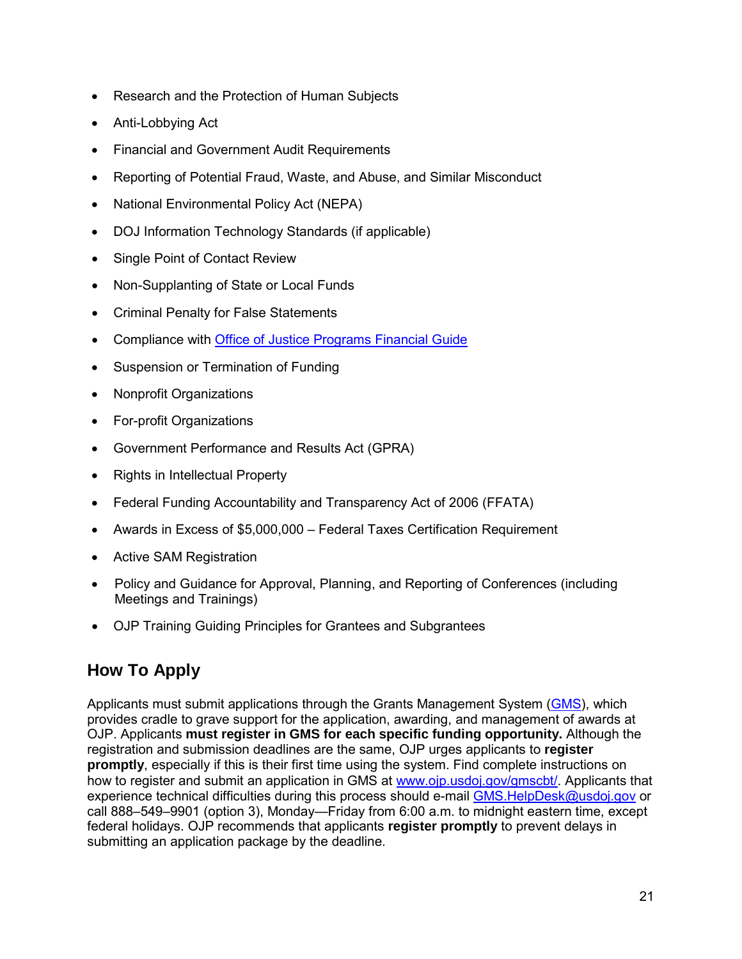- Research and the Protection of Human Subjects
- Anti-Lobbying Act
- Financial and Government Audit Requirements
- Reporting of Potential Fraud, Waste, and Abuse, and Similar Misconduct
- National Environmental Policy Act (NEPA)
- DOJ Information Technology Standards (if applicable)
- Single Point of Contact Review
- Non-Supplanting of State or Local Funds
- Criminal Penalty for False Statements
- Compliance with [Office of Justice Programs Financial Guide](http://www.ojp.usdoj.gov/financialguide/index.htm)
- Suspension or Termination of Funding
- Nonprofit Organizations
- For-profit Organizations
- Government Performance and Results Act (GPRA)
- Rights in Intellectual Property
- Federal Funding Accountability and Transparency Act of 2006 (FFATA)
- Awards in Excess of \$5,000,000 Federal Taxes Certification Requirement
- Active SAM Registration
- Policy and Guidance for Approval, Planning, and Reporting of Conferences (including Meetings and Trainings)
- OJP Training Guiding Principles for Grantees and Subgrantees

## <span id="page-20-0"></span>**How To Apply**

Applicants must submit applications through the Grants Management System [\(GMS\)](https://grants.ojp.usdoj.gov/gmsexternal/), which provides cradle to grave support for the application, awarding, and management of awards at OJP. Applicants **must register in GMS for each specific funding opportunity.** Although the registration and submission deadlines are the same, OJP urges applicants to **register promptly**, especially if this is their first time using the system. Find complete instructions on how to register and submit an application in GMS at [www.ojp.usdoj.gov/gmscbt/.](http://www.ojp.usdoj.gov/gmscbt/) Applicants that experience technical difficulties during this process should e-mail GMS. HelpDesk@usdoj.gov or call 888–549–9901 (option 3), Monday—Friday from 6:00 a.m. to midnight eastern time, except federal holidays. OJP recommends that applicants **register promptly** to prevent delays in submitting an application package by the deadline.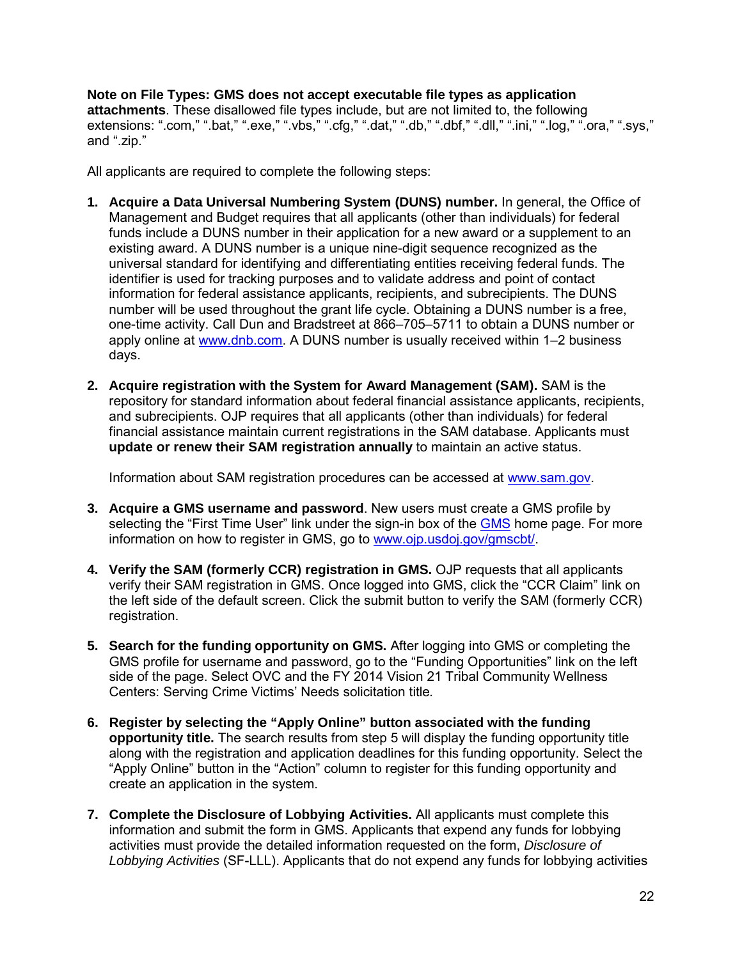**Note on File Types: GMS does not accept executable file types as application attachments**. These disallowed file types include, but are not limited to, the following extensions: ".com," ".bat," ".exe," ".vbs," ".cfg," ".dat," ".db," ".dbf," ".dll," ".ini," ".log," ".ora," ".sys," and ".zip."

All applicants are required to complete the following steps:

- **1. Acquire a Data Universal Numbering System (DUNS) number.** In general, the Office of Management and Budget requires that all applicants (other than individuals) for federal funds include a DUNS number in their application for a new award or a supplement to an existing award. A DUNS number is a unique nine-digit sequence recognized as the universal standard for identifying and differentiating entities receiving federal funds. The identifier is used for tracking purposes and to validate address and point of contact information for federal assistance applicants, recipients, and subrecipients. The DUNS number will be used throughout the grant life cycle. Obtaining a DUNS number is a free, one-time activity. Call Dun and Bradstreet at 866–705–5711 to obtain a DUNS number or apply online at [www.dnb.com.](http://www.dunandbradstreet.com/) A DUNS number is usually received within 1-2 business days.
- **2. Acquire registration with the System for Award Management (SAM).** SAM is the repository for standard information about federal financial assistance applicants, recipients, and subrecipients. OJP requires that all applicants (other than individuals) for federal financial assistance maintain current registrations in the SAM database. Applicants must **update or renew their SAM registration annually** to maintain an active status.

Information about SAM registration procedures can be accessed at [www.sam.gov.](https://www.sam.gov/)

- **3. Acquire a GMS username and password**. New users must create a GMS profile by selecting the "First Time User" link under the sign-in box of the [GMS](https://grants.ojp.usdoj.gov/gmsexternal/login.do) home page. For more information on how to register in GMS, go to [www.ojp.usdoj.gov/gmscbt/.](http://www.ojp.usdoj.gov/gmscbt/)
- **4. Verify the SAM (formerly CCR) registration in GMS.** OJP requests that all applicants verify their SAM registration in GMS. Once logged into GMS, click the "CCR Claim" link on the left side of the default screen. Click the submit button to verify the SAM (formerly CCR) registration.
- **5. Search for the funding opportunity on GMS.** After logging into GMS or completing the GMS profile for username and password, go to the "Funding Opportunities" link on the left side of the page. Select OVC and the FY 2014 Vision 21 Tribal Community Wellness Centers: Serving Crime Victims' Needs solicitation title*.*
- **6. Register by selecting the "Apply Online" button associated with the funding opportunity title.** The search results from step 5 will display the funding opportunity title along with the registration and application deadlines for this funding opportunity. Select the "Apply Online" button in the "Action" column to register for this funding opportunity and create an application in the system.
- **7. Complete the Disclosure of Lobbying Activities.** All applicants must complete this information and submit the form in GMS. Applicants that expend any funds for lobbying activities must provide the detailed information requested on the form, *Disclosure of Lobbying Activities* (SF-LLL). Applicants that do not expend any funds for lobbying activities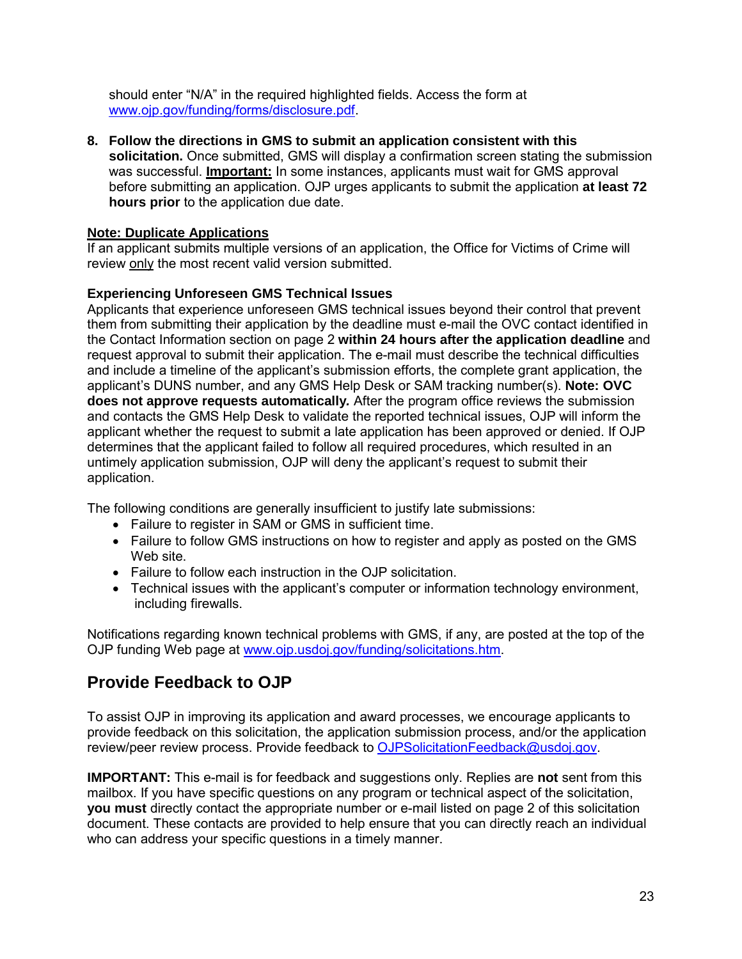should enter "N/A" in the required highlighted fields. Access the form at [www.ojp.gov/funding/forms/disclosure.pdf.](http://www.ojp.gov/funding/forms/disclosure.pdf)

**8. Follow the directions in GMS to submit an application consistent with this solicitation.** Once submitted, GMS will display a confirmation screen stating the submission was successful. **Important:** In some instances, applicants must wait for GMS approval before submitting an application. OJP urges applicants to submit the application **at least 72 hours prior** to the application due date.

#### **Note: Duplicate Applications**

If an applicant submits multiple versions of an application, the Office for Victims of Crime will review only the most recent valid version submitted.

#### **Experiencing Unforeseen GMS Technical Issues**

Applicants that experience unforeseen GMS technical issues beyond their control that prevent them from submitting their application by the deadline must e-mail the OVC contact identified in the Contact Information section on page 2 **within 24 hours after the application deadline** and request approval to submit their application. The e-mail must describe the technical difficulties and include a timeline of the applicant's submission efforts, the complete grant application, the applicant's DUNS number, and any GMS Help Desk or SAM tracking number(s). **Note: OVC does not approve requests automatically***.* After the program office reviews the submission and contacts the GMS Help Desk to validate the reported technical issues, OJP will inform the applicant whether the request to submit a late application has been approved or denied. If OJP determines that the applicant failed to follow all required procedures, which resulted in an untimely application submission, OJP will deny the applicant's request to submit their application.

The following conditions are generally insufficient to justify late submissions:

- Failure to register in SAM or GMS in sufficient time.
- Failure to follow GMS instructions on how to register and apply as posted on the GMS Web site.
- Failure to follow each instruction in the OJP solicitation.
- Technical issues with the applicant's computer or information technology environment, including firewalls.

Notifications regarding known technical problems with GMS, if any, are posted at the top of the OJP funding Web page at [www.ojp.usdoj.gov/funding/solicitations.htm.](http://www.ojp.usdoj.gov/funding/solicitations.htm)

## <span id="page-22-0"></span>**Provide Feedback to OJP**

To assist OJP in improving its application and award processes, we encourage applicants to provide feedback on this solicitation, the application submission process, and/or the application review/peer review process. Provide feedback to [OJPSolicitationFeedback@usdoj.gov.](mailto:OJPSolicitationFeedback@usdoj.gov)

**IMPORTANT:** This e-mail is for feedback and suggestions only. Replies are **not** sent from this mailbox. If you have specific questions on any program or technical aspect of the solicitation, **you must** directly contact the appropriate number or e-mail listed on page 2 of this solicitation document. These contacts are provided to help ensure that you can directly reach an individual who can address your specific questions in a timely manner.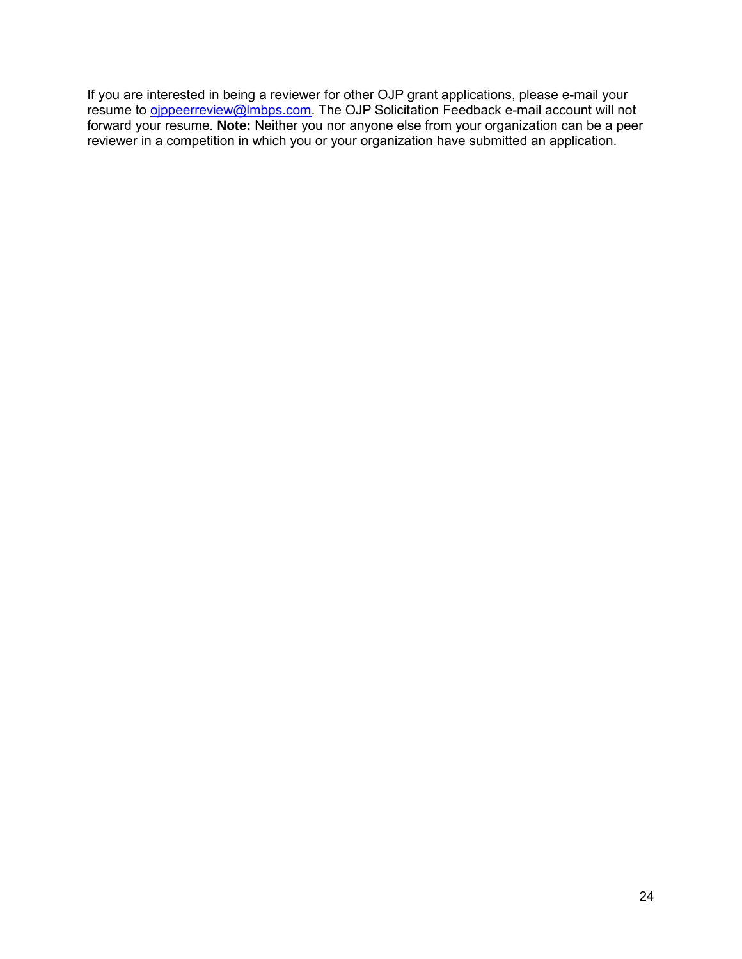If you are interested in being a reviewer for other OJP grant applications, please e-mail your resume to <u>oippeerreview@lmbps.com</u>. The OJP Solicitation Feedback e-mail account will not forward your resume. **Note:** Neither you nor anyone else from your organization can be a peer reviewer in a competition in which you or your organization have submitted an application.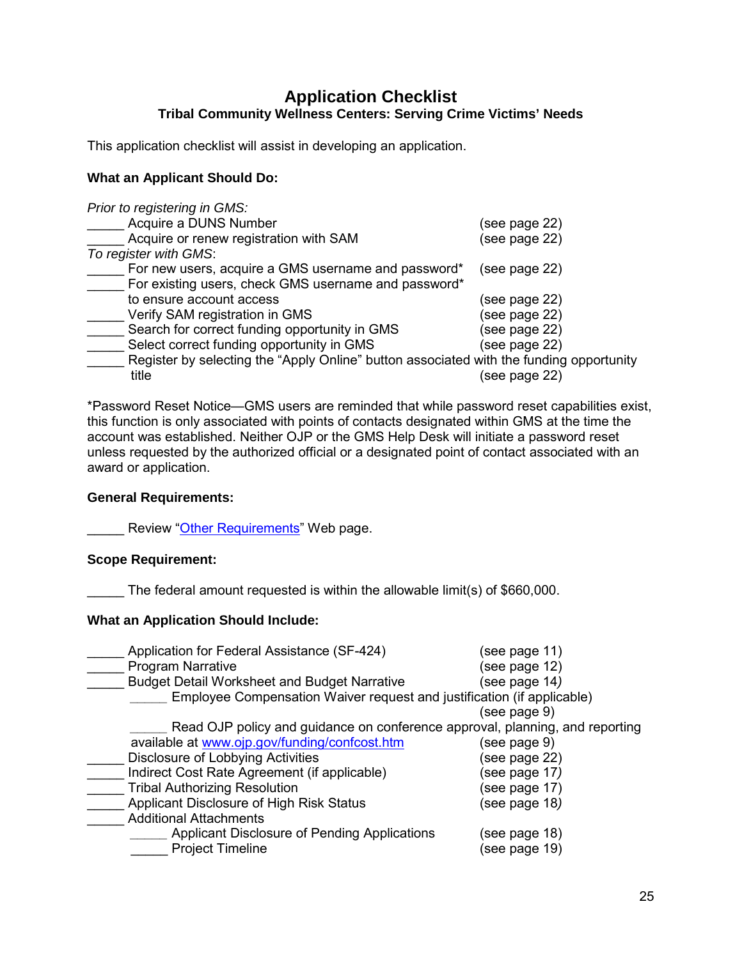### **Application Checklist Tribal Community Wellness Centers: Serving Crime Victims' Needs**

<span id="page-24-0"></span>This application checklist will assist in developing an application.

#### **What an Applicant Should Do:**

*Prior to registering in GMS:*

| Acquire a DUNS Number                                                                   | (see page 22) |
|-----------------------------------------------------------------------------------------|---------------|
| Acquire or renew registration with SAM                                                  | (see page 22) |
| To register with GMS:                                                                   |               |
| For new users, acquire a GMS username and password*                                     | (see page 22) |
| For existing users, check GMS username and password*                                    |               |
| to ensure account access                                                                | (see page 22) |
| Verify SAM registration in GMS                                                          | (see page 22) |
| Search for correct funding opportunity in GMS                                           | (see page 22) |
| Select correct funding opportunity in GMS                                               | (see page 22) |
| Register by selecting the "Apply Online" button associated with the funding opportunity |               |
| title                                                                                   | (see page 22) |

\*Password Reset Notice—GMS users are reminded that while password reset capabilities exist, this function is only associated with points of contacts designated within GMS at the time the account was established. Neither OJP or the GMS Help Desk will initiate a password reset unless requested by the authorized official or a designated point of contact associated with an award or application.

#### **General Requirements:**

L Review ["Other Requirements"](http://www.ojp.usdoj.gov/funding/other_requirements.htm) Web page.

#### **Scope Requirement:**

The federal amount requested is within the allowable limit(s) of \$660,000.

#### **What an Application Should Include:**

| Application for Federal Assistance (SF-424)                                  | (see page 11) |
|------------------------------------------------------------------------------|---------------|
| <b>Program Narrative</b>                                                     | (see page 12) |
| <b>Budget Detail Worksheet and Budget Narrative</b>                          | (see page 14) |
| Employee Compensation Waiver request and justification (if applicable)       |               |
|                                                                              | (see page 9)  |
| Read OJP policy and guidance on conference approval, planning, and reporting |               |
| available at www.ojp.gov/funding/confcost.htm                                | (see page 9)  |
| Disclosure of Lobbying Activities                                            | (see page 22) |
| Indirect Cost Rate Agreement (if applicable)                                 | (see page 17) |
| <b>Tribal Authorizing Resolution</b>                                         | (see page 17) |
| Applicant Disclosure of High Risk Status                                     | (see page 18) |
| <b>Additional Attachments</b>                                                |               |
| Applicant Disclosure of Pending Applications                                 | (see page 18) |
| <b>Project Timeline</b>                                                      | (see page 19) |